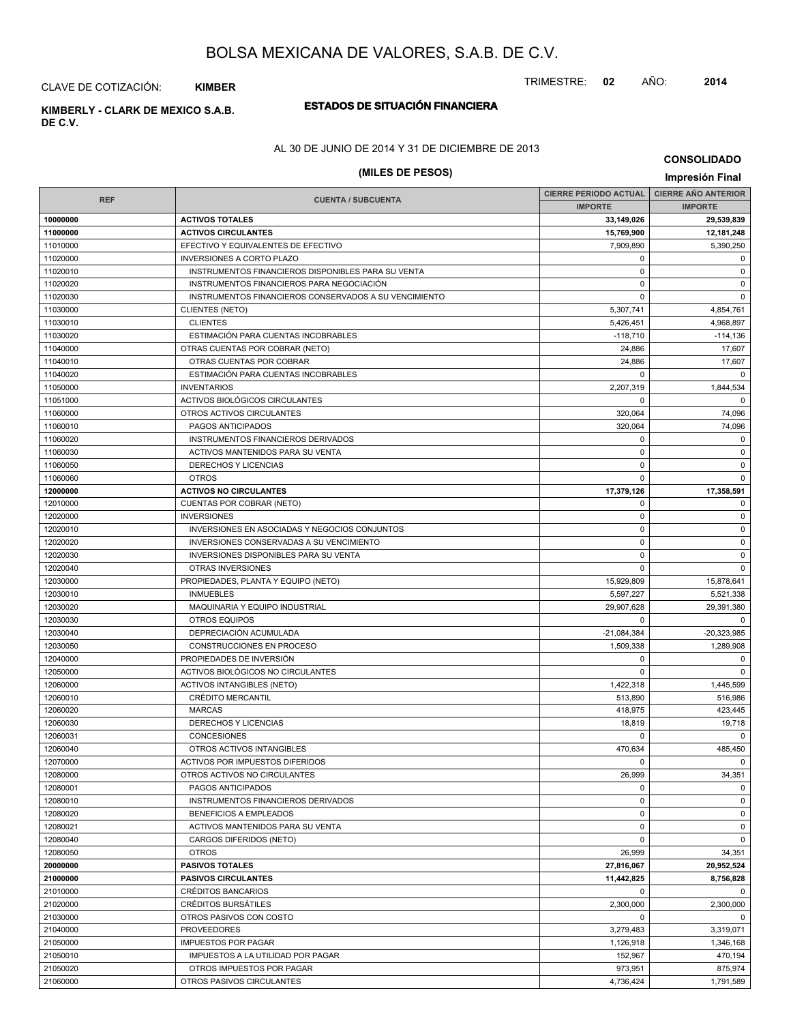TRIMESTRE: **02** AÑO: **2014**

CLAVE DE COTIZACIÓN: **KIMBER**

# **ESTADOS DE SITUACIÓN FINANCIERA KIMBERLY - CLARK DE MEXICO S.A.B.**

**DE C.V.**

### AL 30 DE JUNIO DE 2014 Y 31 DE DICIEMBRE DE 2013

# **(MILES DE PESOS) Impresión Final**

**CONSOLIDADO**

|                      |                                                       | <b>CIERRE PERIODO ACTUAL</b> | <b>CIERRE AÑO ANTERIOR</b> |  |
|----------------------|-------------------------------------------------------|------------------------------|----------------------------|--|
|                      | <b>REF</b><br><b>CUENTA / SUBCUENTA</b>               |                              | <b>IMPORTE</b>             |  |
| 10000000             | <b>ACTIVOS TOTALES</b>                                | 33,149,026                   | 29,539,839                 |  |
| 11000000             | <b>ACTIVOS CIRCULANTES</b>                            | 15,769,900                   | 12,181,248                 |  |
| 11010000             | EFECTIVO Y EQUIVALENTES DE EFECTIVO                   | 7,909,890                    | 5,390,250                  |  |
| 11020000             | <b>INVERSIONES A CORTO PLAZO</b>                      | 0                            | $\mathbf 0$                |  |
| 11020010             | INSTRUMENTOS FINANCIEROS DISPONIBLES PARA SU VENTA    | $\mathbf 0$                  | $\mathbf 0$                |  |
| 11020020             | INSTRUMENTOS FINANCIEROS PARA NEGOCIACIÓN             | $\mathbf 0$                  | $\mathsf 0$                |  |
| 11020030             | INSTRUMENTOS FINANCIEROS CONSERVADOS A SU VENCIMIENTO | 0                            | $\mathbf 0$                |  |
| 11030000             | <b>CLIENTES (NETO)</b>                                | 5,307,741                    | 4,854,761                  |  |
| 11030010             | <b>CLIENTES</b>                                       | 5,426,451                    | 4,968,897                  |  |
| 11030020             | ESTIMACIÓN PARA CUENTAS INCOBRABLES                   | $-118,710$                   | $-114,136$                 |  |
| 11040000             | OTRAS CUENTAS POR COBRAR (NETO)                       | 24,886                       | 17,607                     |  |
| 11040010             | OTRAS CUENTAS POR COBRAR                              | 24,886                       | 17,607                     |  |
| 11040020             | ESTIMACIÓN PARA CUENTAS INCOBRABLES                   | $\Omega$                     | $\mathbf 0$                |  |
| 11050000             | <b>INVENTARIOS</b>                                    | 2,207,319                    | 1,844,534                  |  |
| 11051000             | ACTIVOS BIOLÓGICOS CIRCULANTES                        | 0                            | $\Omega$                   |  |
| 11060000             | OTROS ACTIVOS CIRCULANTES                             | 320,064                      | 74,096                     |  |
| 11060010             | PAGOS ANTICIPADOS                                     | 320,064                      | 74,096                     |  |
| 11060020             | INSTRUMENTOS FINANCIEROS DERIVADOS                    | $\mathbf 0$                  | $\mathbf 0$                |  |
| 11060030             | ACTIVOS MANTENIDOS PARA SU VENTA                      | 0                            | $\mathbf 0$                |  |
| 11060050             | DERECHOS Y LICENCIAS                                  | 0                            | $\mathbf 0$                |  |
| 11060060             | <b>OTROS</b>                                          | $\mathbf 0$                  | $\mathbf 0$                |  |
| 12000000             | <b>ACTIVOS NO CIRCULANTES</b>                         | 17,379,126                   | 17,358,591                 |  |
| 12010000             | CUENTAS POR COBRAR (NETO)                             | 0                            | $\mathbf 0$                |  |
| 12020000             | <b>INVERSIONES</b>                                    | $\mathbf 0$                  | $\mathsf 0$                |  |
| 12020010             | INVERSIONES EN ASOCIADAS Y NEGOCIOS CONJUNTOS         | 0                            | $\mathbf 0$                |  |
| 12020020             | INVERSIONES CONSERVADAS A SU VENCIMIENTO              | $\mathbf 0$                  | $\mathbf 0$                |  |
| 12020030             | <b>INVERSIONES DISPONIBLES PARA SU VENTA</b>          | $\mathbf 0$                  | $\mathsf 0$                |  |
| 12020040             | OTRAS INVERSIONES                                     | 0                            | $\mathbf 0$                |  |
| 12030000             | PROPIEDADES, PLANTA Y EQUIPO (NETO)                   | 15,929,809                   | 15,878,641                 |  |
| 12030010             | <b>INMUEBLES</b>                                      | 5,597,227                    | 5,521,338                  |  |
| 12030020             | MAQUINARIA Y EQUIPO INDUSTRIAL                        | 29,907,628                   | 29,391,380                 |  |
| 12030030             | <b>OTROS EQUIPOS</b>                                  | $\mathbf 0$                  | $\mathbf 0$                |  |
| 12030040             | DEPRECIACIÓN ACUMULADA                                | $-21,084,384$                | $-20,323,985$              |  |
| 12030050             | CONSTRUCCIONES EN PROCESO                             | 1,509,338                    | 1,289,908                  |  |
| 12040000             | PROPIEDADES DE INVERSIÓN                              | 0                            | 0                          |  |
| 12050000             | ACTIVOS BIOLÓGICOS NO CIRCULANTES                     | $\mathbf 0$                  | $\mathbf 0$                |  |
| 12060000             | <b>ACTIVOS INTANGIBLES (NETO)</b>                     | 1,422,318                    | 1,445,599                  |  |
| 12060010             | <b>CRÉDITO MERCANTIL</b>                              | 513,890                      | 516,986                    |  |
| 12060020             | <b>MARCAS</b>                                         | 418,975                      | 423,445                    |  |
| 12060030             | DERECHOS Y LICENCIAS                                  | 18,819                       | 19,718                     |  |
| 12060031             | <b>CONCESIONES</b>                                    | $\mathbf 0$                  | $\Omega$                   |  |
| 12060040             | OTROS ACTIVOS INTANGIBLES                             | 470,634                      | 485,450                    |  |
| 12070000             | ACTIVOS POR IMPUESTOS DIFERIDOS                       | 0                            | $\overline{\mathbf{0}}$    |  |
| 12080000             | OTROS ACTIVOS NO CIRCULANTES                          | 26,999                       | 34,351                     |  |
| 12080001             | PAGOS ANTICIPADOS                                     | 0                            | $\mathbf 0$                |  |
| 12080010             | INSTRUMENTOS FINANCIEROS DERIVADOS                    | 0                            | $\mathbf 0$                |  |
| 12080020             | <b>BENEFICIOS A EMPLEADOS</b>                         | 0                            | $\mathbf 0$                |  |
| 12080021             | ACTIVOS MANTENIDOS PARA SU VENTA                      | $\pmb{0}$                    | $\mathbf 0$                |  |
| 12080040             | CARGOS DIFERIDOS (NETO)                               | 0                            | $\mathbf 0$                |  |
| 12080050             | <b>OTROS</b>                                          |                              | 34,351                     |  |
| 20000000             | <b>PASIVOS TOTALES</b>                                | 26,999                       | 20,952,524                 |  |
| 21000000             | <b>PASIVOS CIRCULANTES</b>                            | 27,816,067<br>11,442,825     | 8,756,828                  |  |
| 21010000             | <b>CRÉDITOS BANCARIOS</b>                             | 0                            | $\mathbf 0$                |  |
|                      | <b>CRÉDITOS BURSÁTILES</b>                            |                              |                            |  |
| 21020000<br>21030000 | OTROS PASIVOS CON COSTO                               | 2,300,000<br>0               | 2,300,000<br>$\mathbf 0$   |  |
| 21040000             | <b>PROVEEDORES</b>                                    |                              | 3,319,071                  |  |
|                      |                                                       | 3,279,483                    |                            |  |
| 21050000             | <b>IMPUESTOS POR PAGAR</b>                            | 1,126,918                    | 1,346,168                  |  |
| 21050010<br>21050020 | IMPUESTOS A LA UTILIDAD POR PAGAR                     | 152,967                      | 470,194                    |  |
|                      | OTROS IMPUESTOS POR PAGAR                             | 973,951                      | 875,974                    |  |
| 21060000             | OTROS PASIVOS CIRCULANTES                             | 4,736,424                    | 1,791,589                  |  |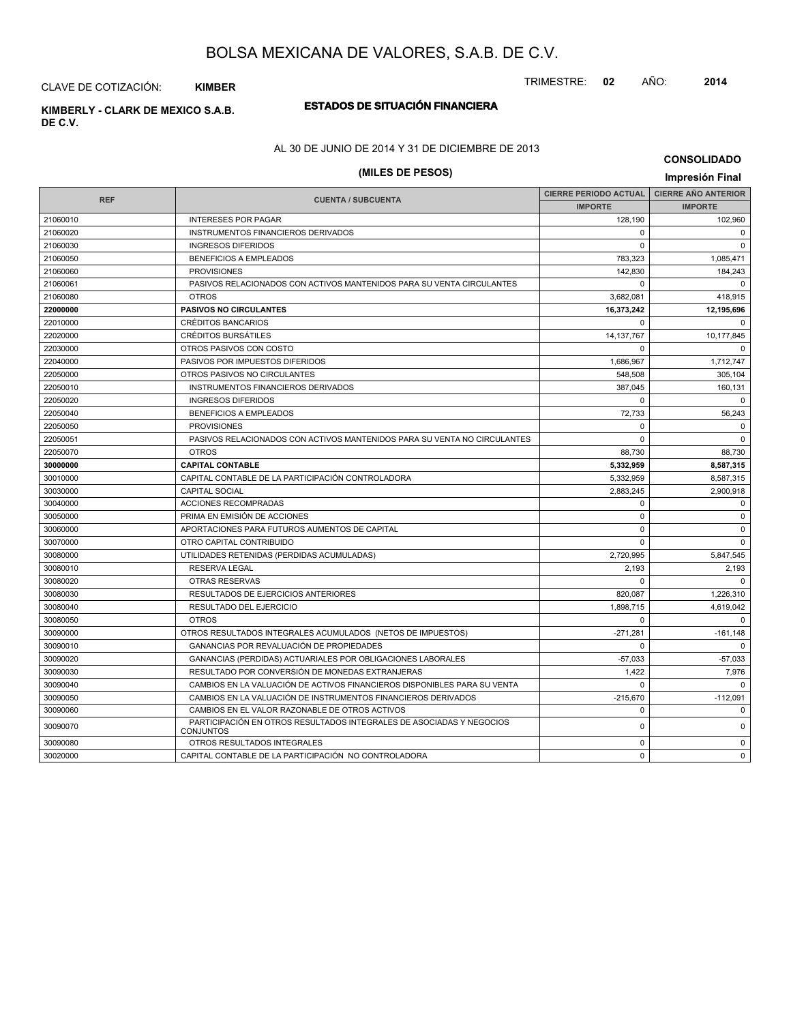TRIMESTRE: **02** AÑO: **2014**

CLAVE DE COTIZACIÓN: **KIMBER**

# **ESTADOS DE SITUACIÓN FINANCIERA KIMBERLY - CLARK DE MEXICO S.A.B.**

**DE C.V.**

# AL 30 DE JUNIO DE 2014 Y 31 DE DICIEMBRE DE 2013

# **(MILES DE PESOS) Impresión Final**

**CONSOLIDADO**

| <b>REF</b> |                                                                                          | <b>CIERRE PERIODO ACTUAL</b> | <b>CIERRE AÑO ANTERIOR</b> |  |
|------------|------------------------------------------------------------------------------------------|------------------------------|----------------------------|--|
|            | <b>CUENTA / SUBCUENTA</b>                                                                | <b>IMPORTE</b>               | <b>IMPORTE</b>             |  |
| 21060010   | <b>INTERESES POR PAGAR</b>                                                               | 128.190                      | 102,960                    |  |
| 21060020   | INSTRUMENTOS FINANCIEROS DERIVADOS                                                       | $\Omega$                     | $\Omega$                   |  |
| 21060030   | <b>INGRESOS DIFERIDOS</b>                                                                | $\Omega$                     | $\Omega$                   |  |
| 21060050   | BENEFICIOS A EMPLEADOS                                                                   | 783.323                      | 1,085,471                  |  |
| 21060060   | <b>PROVISIONES</b>                                                                       | 142,830                      | 184,243                    |  |
| 21060061   | PASIVOS RELACIONADOS CON ACTIVOS MANTENIDOS PARA SU VENTA CIRCULANTES                    | $\Omega$                     | $\Omega$                   |  |
| 21060080   | <b>OTROS</b>                                                                             | 3,682,081                    | 418,915                    |  |
| 22000000   | <b>PASIVOS NO CIRCULANTES</b>                                                            | 16,373,242                   | 12,195,696                 |  |
| 22010000   | <b>CRÉDITOS BANCARIOS</b>                                                                | $\Omega$                     | $\Omega$                   |  |
| 22020000   | <b>CRÉDITOS BURSÁTILES</b>                                                               | 14, 137, 767                 | 10,177,845                 |  |
| 22030000   | OTROS PASIVOS CON COSTO                                                                  | $\Omega$                     | $\Omega$                   |  |
| 22040000   | PASIVOS POR IMPUESTOS DIFERIDOS                                                          | 1,686,967                    | 1,712,747                  |  |
| 22050000   | OTROS PASIVOS NO CIRCULANTES                                                             | 548,508                      | 305,104                    |  |
| 22050010   | INSTRUMENTOS FINANCIEROS DERIVADOS                                                       | 387,045                      | 160,131                    |  |
| 22050020   | <b>INGRESOS DIFERIDOS</b>                                                                | $\Omega$                     | $\Omega$                   |  |
| 22050040   | BENEFICIOS A EMPLEADOS                                                                   | 72,733                       | 56,243                     |  |
| 22050050   | <b>PROVISIONES</b>                                                                       | $\mathbf 0$                  | $\mathbf 0$                |  |
| 22050051   | PASIVOS RELACIONADOS CON ACTIVOS MANTENIDOS PARA SU VENTA NO CIRCULANTES                 | $\mathbf 0$                  | $\mathbf 0$                |  |
| 22050070   | <b>OTROS</b>                                                                             | 88,730                       | 88,730                     |  |
| 30000000   | <b>CAPITAL CONTABLE</b>                                                                  | 5,332,959                    | 8,587,315                  |  |
| 30010000   | CAPITAL CONTABLE DE LA PARTICIPACIÓN CONTROLADORA                                        | 5.332.959                    | 8,587,315                  |  |
| 30030000   | <b>CAPITAL SOCIAL</b>                                                                    | 2,883,245                    | 2,900,918                  |  |
| 30040000   | <b>ACCIONES RECOMPRADAS</b>                                                              | $\Omega$                     | $\Omega$                   |  |
| 30050000   | PRIMA EN EMISIÓN DE ACCIONES                                                             | $\Omega$                     | $\mathbf 0$                |  |
| 30060000   | APORTACIONES PARA FUTUROS AUMENTOS DE CAPITAL                                            | $\Omega$                     | $\mathbf 0$                |  |
| 30070000   | OTRO CAPITAL CONTRIBUIDO                                                                 | $\Omega$                     | $\Omega$                   |  |
| 30080000   | UTILIDADES RETENIDAS (PERDIDAS ACUMULADAS)                                               | 2.720.995                    | 5,847,545                  |  |
| 30080010   | <b>RESERVA LEGAL</b>                                                                     | 2,193                        | 2,193                      |  |
| 30080020   | <b>OTRAS RESERVAS</b>                                                                    | $\Omega$                     | $\Omega$                   |  |
| 30080030   | <b>RESULTADOS DE EJERCICIOS ANTERIORES</b>                                               | 820.087                      | 1,226,310                  |  |
| 30080040   | RESULTADO DEL EJERCICIO                                                                  | 1,898,715                    | 4,619,042                  |  |
| 30080050   | <b>OTROS</b>                                                                             | $\Omega$                     | $\mathbf 0$                |  |
| 30090000   | OTROS RESULTADOS INTEGRALES ACUMULADOS (NETOS DE IMPUESTOS)                              | $-271.281$                   | $-161,148$                 |  |
| 30090010   | GANANCIAS POR REVALUACIÓN DE PROPIEDADES                                                 | $\Omega$                     | $\mathbf{0}$               |  |
| 30090020   | GANANCIAS (PERDIDAS) ACTUARIALES POR OBLIGACIONES LABORALES                              | $-57,033$                    | $-57,033$                  |  |
| 30090030   | RESULTADO POR CONVERSIÓN DE MONEDAS EXTRANJERAS                                          | 1,422                        | 7,976                      |  |
| 30090040   | CAMBIOS EN LA VALUACIÓN DE ACTIVOS FINANCIEROS DISPONIBLES PARA SU VENTA                 | $\Omega$                     | $\mathbf 0$                |  |
| 30090050   | CAMBIOS EN LA VALUACIÓN DE INSTRUMENTOS FINANCIEROS DERIVADOS                            | $-215,670$                   | $-112,091$                 |  |
| 30090060   | CAMBIOS EN EL VALOR RAZONABLE DE OTROS ACTIVOS                                           | $\mathbf 0$                  | $\mathbf 0$                |  |
| 30090070   | PARTICIPACIÓN EN OTROS RESULTADOS INTEGRALES DE ASOCIADAS Y NEGOCIOS<br><b>CONJUNTOS</b> | $\mathbf 0$                  | $\mathbf 0$                |  |
| 30090080   | OTROS RESULTADOS INTEGRALES                                                              | $\mathbf 0$                  | $\mathbf 0$                |  |
| 30020000   | CAPITAL CONTABLE DE LA PARTICIPACIÓN NO CONTROLADORA                                     | $\mathbf 0$                  | $\mathbf 0$                |  |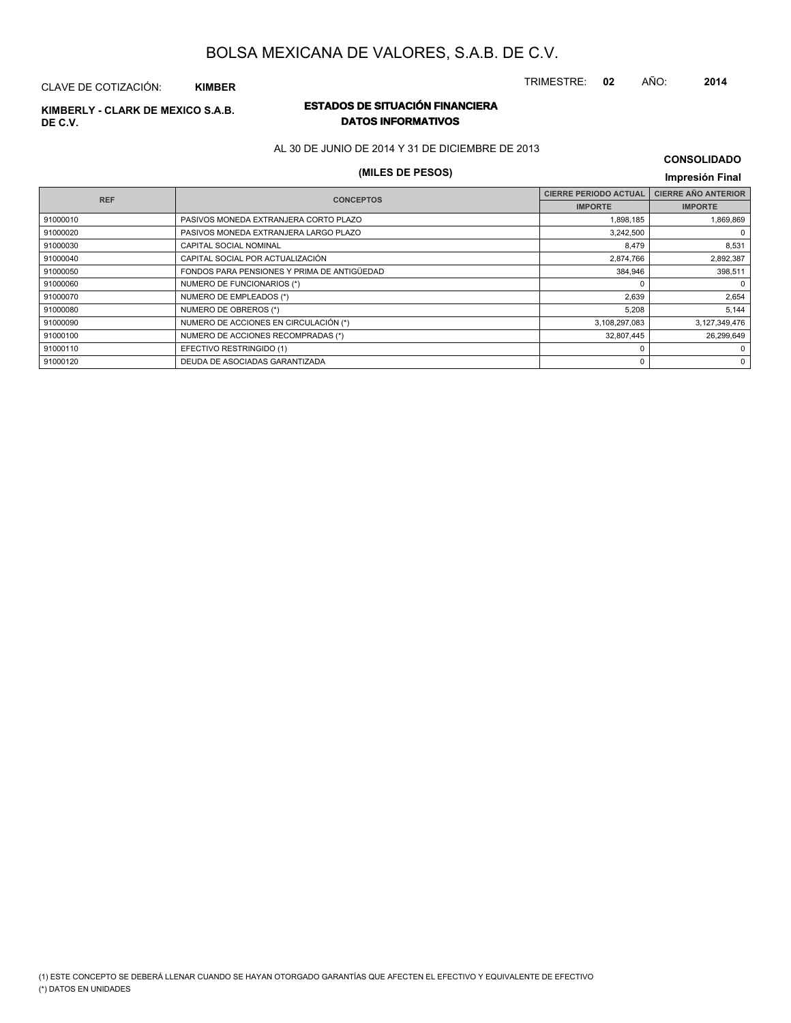TRIMESTRE: **02** AÑO: **2014**

#### CLAVE DE COTIZACIÓN: **KIMBER**

# **DE C.V.**

## **ESTADOS DE SITUACIÓN FINANCIERA KIMBERLY - CLARK DE MEXICO S.A.B. DATOS INFORMATIVOS**

AL 30 DE JUNIO DE 2014 Y 31 DE DICIEMBRE DE 2013

# **(MILES DE PESOS) Impresión Final**

| <b>CONSOLIDADO</b> |  |
|--------------------|--|
|--------------------|--|

| <b>REF</b> | <b>CONCEPTOS</b>                            | <b>CIERRE PERIODO ACTUAL</b> | <b>CIERRE AÑO ANTERIOR</b> |
|------------|---------------------------------------------|------------------------------|----------------------------|
|            |                                             | <b>IMPORTE</b>               | <b>IMPORTE</b>             |
| 91000010   | PASIVOS MONEDA EXTRANJERA CORTO PLAZO       | 1,898,185                    | 1,869,869                  |
| 91000020   | PASIVOS MONEDA EXTRANJERA LARGO PLAZO       | 3,242,500                    | $\Omega$                   |
| 91000030   | CAPITAL SOCIAL NOMINAL                      | 8,479                        | 8,531                      |
| 91000040   | CAPITAL SOCIAL POR ACTUALIZACIÓN            | 2,874,766                    | 2,892,387                  |
| 91000050   | FONDOS PARA PENSIONES Y PRIMA DE ANTIGÜEDAD | 384,946                      | 398,511                    |
| 91000060   | NUMERO DE FUNCIONARIOS (*)                  |                              | 0                          |
| 91000070   | NUMERO DE EMPLEADOS (*)                     | 2,639                        | 2,654                      |
| 91000080   | NUMERO DE OBREROS (*)                       | 5,208                        | 5,144                      |
| 91000090   | NUMERO DE ACCIONES EN CIRCULACIÓN (*)       | 3,108,297,083                | 3,127,349,476              |
| 91000100   | NUMERO DE ACCIONES RECOMPRADAS (*)          | 32,807,445                   | 26,299,649                 |
| 91000110   | EFECTIVO RESTRINGIDO (1)                    |                              | 0                          |
| 91000120   | DEUDA DE ASOCIADAS GARANTIZADA              | 0                            | 0                          |
|            |                                             |                              |                            |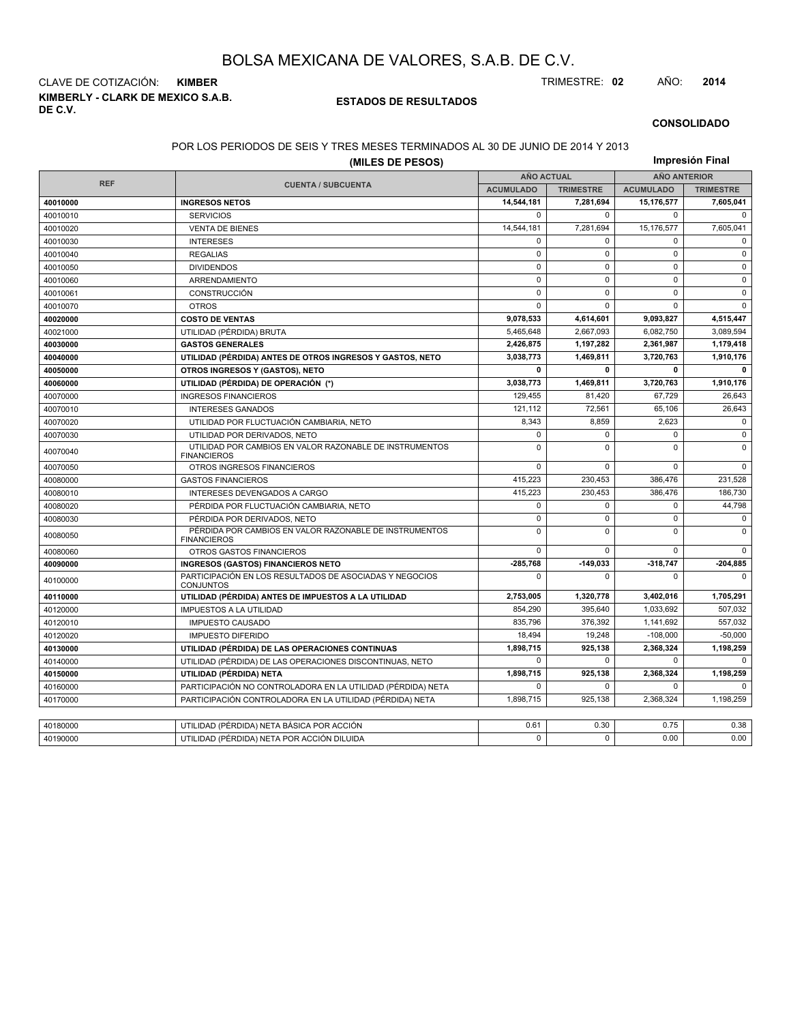**KIMBERLY - CLARK DE MEXICO S.A.B. DE C.V.** CLAVE DE COTIZACIÓN: **KIMBER** TRIMESTRE: **02** AÑO: **2014**

#### **ESTADOS DE RESULTADOS**

#### **CONSOLIDADO**

#### POR LOS PERIODOS DE SEIS Y TRES MESES TERMINADOS AL 30 DE JUNIO DE 2014 Y 2013

| (MILES DE PESOS) |                                                                               |                   |                  |                     | Impresión Final  |  |  |
|------------------|-------------------------------------------------------------------------------|-------------------|------------------|---------------------|------------------|--|--|
|                  |                                                                               | <b>AÑO ACTUAL</b> |                  | <b>AÑO ANTERIOR</b> |                  |  |  |
| <b>REF</b>       | <b>CUENTA / SUBCUENTA</b>                                                     | <b>ACUMULADO</b>  | <b>TRIMESTRE</b> | <b>ACUMULADO</b>    | <b>TRIMESTRE</b> |  |  |
| 40010000         | <b>INGRESOS NETOS</b>                                                         | 14,544,181        | 7,281,694        | 15,176,577          | 7,605,041        |  |  |
| 40010010         | <b>SERVICIOS</b>                                                              | $\Omega$          | $\Omega$         | $\Omega$            | $\Omega$         |  |  |
| 40010020         | <b>VENTA DE BIENES</b>                                                        | 14,544,181        | 7,281,694        | 15,176,577          | 7,605,041        |  |  |
| 40010030         | <b>INTERESES</b>                                                              | $\Omega$          | $\Omega$         | $\Omega$            | $\Omega$         |  |  |
| 40010040         | <b>REGALIAS</b>                                                               | $\mathbf 0$       | $\mathbf 0$      | $\mathbf 0$         | $\mathbf 0$      |  |  |
| 40010050         | <b>DIVIDENDOS</b>                                                             | $\mathbf 0$       | $\mathbf 0$      | $\Omega$            | $\Omega$         |  |  |
| 40010060         | ARRENDAMIENTO                                                                 | $\mathbf 0$       | $\mathbf 0$      | $\mathbf 0$         | $\mathbf 0$      |  |  |
| 40010061         | CONSTRUCCIÓN                                                                  | $\mathbf 0$       | $\mathbf 0$      | $\mathbf 0$         | $\mathsf 0$      |  |  |
| 40010070         | <b>OTROS</b>                                                                  | $\mathbf 0$       | $\mathbf 0$      | $\mathbf 0$         | $\Omega$         |  |  |
| 40020000         | <b>COSTO DE VENTAS</b>                                                        | 9,078,533         | 4,614,601        | 9,093,827           | 4,515,447        |  |  |
| 40021000         | UTILIDAD (PÉRDIDA) BRUTA                                                      | 5,465,648         | 2,667,093        | 6,082,750           | 3,089,594        |  |  |
| 40030000         | <b>GASTOS GENERALES</b>                                                       | 2,426,875         | 1,197,282        | 2,361,987           | 1,179,418        |  |  |
| 40040000         | UTILIDAD (PÉRDIDA) ANTES DE OTROS INGRESOS Y GASTOS, NETO                     | 3,038,773         | 1,469,811        | 3,720,763           | 1,910,176        |  |  |
| 40050000         | OTROS INGRESOS Y (GASTOS), NETO                                               | 0                 | 0                | 0                   | 0                |  |  |
| 40060000         | UTILIDAD (PÉRDIDA) DE OPERACIÓN (*)                                           | 3,038,773         | 1,469,811        | 3,720,763           | 1,910,176        |  |  |
| 40070000         | <b>INGRESOS FINANCIEROS</b>                                                   | 129,455           | 81,420           | 67,729              | 26,643           |  |  |
| 40070010         | <b>INTERESES GANADOS</b>                                                      | 121,112           | 72.561           | 65.106              | 26,643           |  |  |
| 40070020         | UTILIDAD POR FLUCTUACIÓN CAMBIARIA, NETO                                      | 8,343             | 8,859            | 2,623               | $\mathbf 0$      |  |  |
| 40070030         | UTILIDAD POR DERIVADOS, NETO                                                  | $\mathbf 0$       | $\mathbf 0$      | $\mathbf 0$         | $\mathbf 0$      |  |  |
| 40070040         | UTILIDAD POR CAMBIOS EN VALOR RAZONABLE DE INSTRUMENTOS<br><b>FINANCIEROS</b> | $\Omega$          | $\Omega$         | $\Omega$            | $\Omega$         |  |  |
| 40070050         | OTROS INGRESOS FINANCIEROS                                                    | $\mathbf 0$       | $\mathbf 0$      | $\mathbf 0$         | $\Omega$         |  |  |
| 40080000         | <b>GASTOS FINANCIEROS</b>                                                     | 415,223           | 230,453          | 386,476             | 231,528          |  |  |
| 40080010         | INTERESES DEVENGADOS A CARGO                                                  | 415,223           | 230,453          | 386,476             | 186,730          |  |  |
| 40080020         | PÉRDIDA POR FLUCTUACIÓN CAMBIARIA, NETO                                       | $\mathbf 0$       | $\mathbf 0$      | $\mathbf 0$         | 44,798           |  |  |
| 40080030         | PÉRDIDA POR DERIVADOS, NETO                                                   | $\mathbf 0$       | $\mathbf 0$      | $\mathbf 0$         | $\mathbf 0$      |  |  |
| 40080050         | PÉRDIDA POR CAMBIOS EN VALOR RAZONABLE DE INSTRUMENTOS<br><b>FINANCIEROS</b>  | $\mathbf 0$       | $\mathbf 0$      | $\Omega$            | $\mathbf 0$      |  |  |
| 40080060         | <b>OTROS GASTOS FINANCIEROS</b>                                               | $\mathbf 0$       | $\mathbf 0$      | $\mathbf 0$         | $\Omega$         |  |  |
| 40090000         | <b>INGRESOS (GASTOS) FINANCIEROS NETO</b>                                     | -285,768          | $-149.033$       | 318,747             | $-204,885$       |  |  |
| 40100000         | PARTICIPACIÓN EN LOS RESULTADOS DE ASOCIADAS Y NEGOCIOS<br><b>CONJUNTOS</b>   | $\Omega$          | $\Omega$         | $\Omega$            | $\Omega$         |  |  |
| 40110000         | UTILIDAD (PÉRDIDA) ANTES DE IMPUESTOS A LA UTILIDAD                           | 2,753,005         | 1,320,778        | 3,402,016           | 1,705,291        |  |  |
| 40120000         | <b>IMPUESTOS A LA UTILIDAD</b>                                                | 854,290           | 395,640          | 1,033,692           | 507,032          |  |  |
| 40120010         | <b>IMPUESTO CAUSADO</b>                                                       | 835,796           | 376,392          | 1,141,692           | 557,032          |  |  |
| 40120020         | <b>IMPUESTO DIFERIDO</b>                                                      | 18,494            | 19,248           | $-108,000$          | $-50,000$        |  |  |
| 40130000         | UTILIDAD (PÉRDIDA) DE LAS OPERACIONES CONTINUAS                               | 1,898,715         | 925,138          | 2,368,324           | 1,198,259        |  |  |
| 40140000         | UTILIDAD (PÉRDIDA) DE LAS OPERACIONES DISCONTINUAS, NETO                      | $\Omega$          | 0                | $\mathbf 0$         | $\Omega$         |  |  |
| 40150000         | UTILIDAD (PÉRDIDA) NETA                                                       | 1,898,715         | 925,138          | 2,368,324           | 1,198,259        |  |  |
| 40160000         | PARTICIPACIÓN NO CONTROLADORA EN LA UTILIDAD (PÉRDIDA) NETA                   | 0                 | 0                | 0                   | $\Omega$         |  |  |
| 40170000         | PARTICIPACIÓN CONTROLADORA EN LA UTILIDAD (PÉRDIDA) NETA                      | 1,898,715         | 925,138          | 2,368,324           | 1,198,259        |  |  |
|                  |                                                                               |                   |                  |                     |                  |  |  |
| 40180000         | UTILIDAD (PÉRDIDA) NETA BÁSICA POR ACCIÓN                                     | 0.61              | 0.30             | 0.75                | 0.38             |  |  |
| 40190000         | UTILIDAD (PÉRDIDA) NETA POR ACCIÓN DILUIDA                                    | $\Omega$          | $\Omega$         | 0.00                | 0.00             |  |  |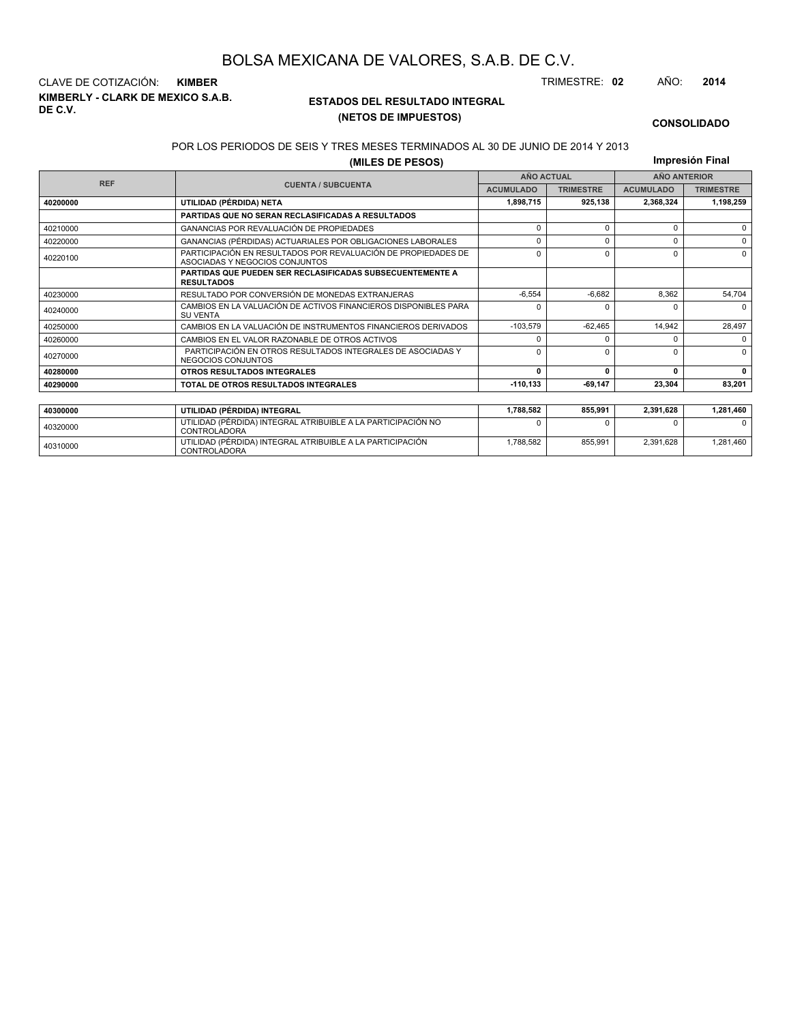**KIMBERLY - CLARK DE MEXICO S.A.B. DE C.V.** CLAVE DE COTIZACIÓN: **KIMBER** TRIMESTRE: **02** AÑO: **2014**

<sup>40310000</sup> UTILIDAD (PÉRDIDA) INTEGRAL ATRIBUIBLE A LA PARTICIPACIÓN CONTROLADORA

#### **ESTADOS DEL RESULTADO INTEGRAL (NETOS DE IMPUESTOS)**

1,788,582 855,991 2,391,628 1,281,460

#### **CONSOLIDADO**

#### POR LOS PERIODOS DE SEIS Y TRES MESES TERMINADOS AL 30 DE JUNIO DE 2014 Y 2013

**(MILES DE PESOS)**

**Impresión Final**

|            |                                                                                                 | <b>111101691011 1 11101</b> |                  |                  |                     |
|------------|-------------------------------------------------------------------------------------------------|-----------------------------|------------------|------------------|---------------------|
| <b>REF</b> |                                                                                                 | <b>AÑO ACTUAL</b>           |                  |                  | <b>AÑO ANTERIOR</b> |
|            | <b>CUENTA / SUBCUENTA</b>                                                                       | <b>ACUMULADO</b>            | <b>TRIMESTRE</b> | <b>ACUMULADO</b> | <b>TRIMESTRE</b>    |
| 40200000   | UTILIDAD (PÉRDIDA) NETA                                                                         | 1,898,715                   | 925,138          | 2,368,324        | 1,198,259           |
|            | PARTIDAS QUE NO SERAN RECLASIFICADAS A RESULTADOS                                               |                             |                  |                  |                     |
| 40210000   | GANANCIAS POR REVALUACIÓN DE PROPIEDADES                                                        | 0                           | $\Omega$         | $\Omega$         | $\Omega$            |
| 40220000   | GANANCIAS (PÉRDIDAS) ACTUARIALES POR OBLIGACIONES LABORALES                                     | ŋ                           | $\Omega$         | $\Omega$         | $\Omega$            |
| 40220100   | PARTICIPACIÓN EN RESULTADOS POR REVALUACIÓN DE PROPIEDADES DE<br>ASOCIADAS Y NEGOCIOS CONJUNTOS | $\Omega$                    | $\Omega$         | $\Omega$         | $\Omega$            |
|            | <b>PARTIDAS QUE PUEDEN SER RECLASIFICADAS SUBSECUENTEMENTE A</b><br><b>RESULTADOS</b>           |                             |                  |                  |                     |
| 40230000   | RESULTADO POR CONVERSIÓN DE MONEDAS EXTRANJERAS                                                 | $-6.554$                    | $-6.682$         | 8,362            | 54,704              |
| 40240000   | CAMBIOS EN LA VALUACIÓN DE ACTIVOS FINANCIEROS DISPONIBLES PARA<br><b>SU VENTA</b>              | 0                           | <sup>0</sup>     | $\Omega$         | $\Omega$            |
| 40250000   | CAMBIOS EN LA VALUACIÓN DE INSTRUMENTOS FINANCIEROS DERIVADOS                                   | $-103,579$                  | $-62.465$        | 14.942           | 28,497              |
| 40260000   | CAMBIOS EN EL VALOR RAZONABLE DE OTROS ACTIVOS                                                  | <sup>0</sup>                | <sup>0</sup>     | $\Omega$         | $\Omega$            |
| 40270000   | PARTICIPACIÓN EN OTROS RESULTADOS INTEGRALES DE ASOCIADAS Y<br>NEGOCIOS CONJUNTOS               | <sup>0</sup>                | $\Omega$         | $\Omega$         | $\Omega$            |
| 40280000   | OTROS RESULTADOS INTEGRALES                                                                     | 0                           | n                | 0                | $\mathbf{0}$        |
| 40290000   | TOTAL DE OTROS RESULTADOS INTEGRALES                                                            | $-110.133$                  | $-69,147$        | 23,304           | 83,201              |
|            |                                                                                                 |                             |                  |                  |                     |
| 40300000   | UTILIDAD (PÉRDIDA) INTEGRAL                                                                     | 1,788,582                   | 855,991          | 2,391,628        | 1,281,460           |
| 40320000   | UTILIDAD (PÉRDIDA) INTEGRAL ATRIBUIBLE A LA PARTICIPACIÓN NO<br><b>CONTROLADORA</b>             |                             |                  | n                | $\Omega$            |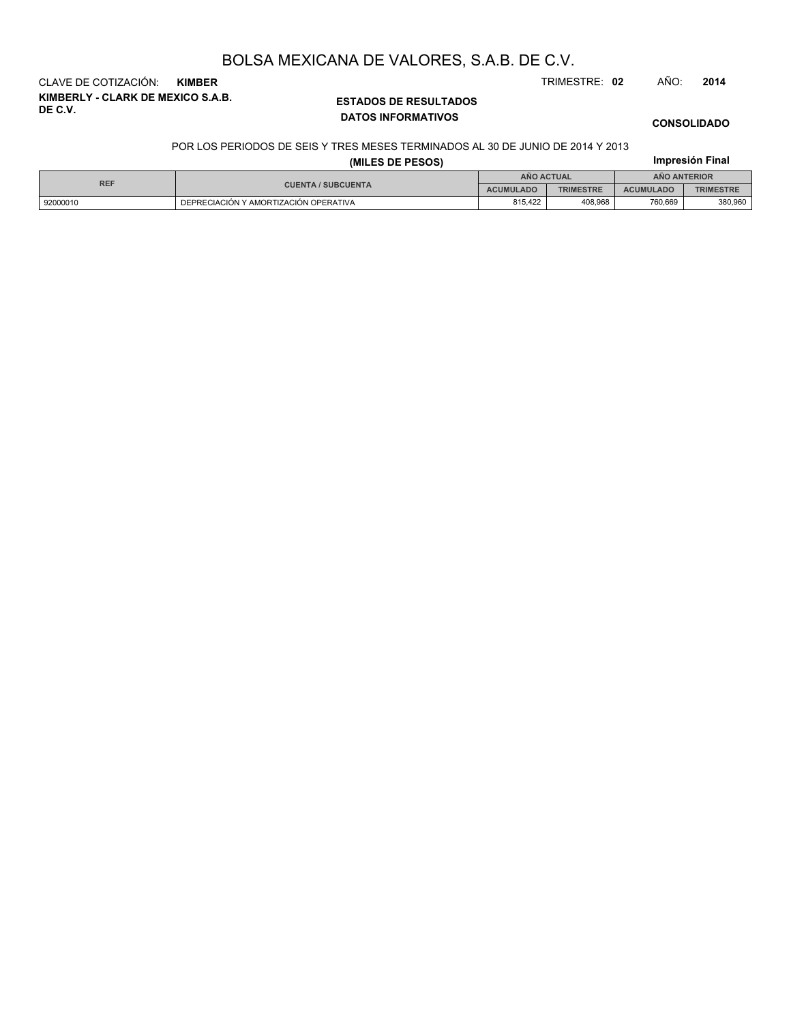**KIMBERLY - CLARK DE MEXICO S.A.B. DE C.V.** CLAVE DE COTIZACIÓN: **KIMBER** TRIMESTRE: **02** AÑO: **2014**

#### **ESTADOS DE RESULTADOS DATOS INFORMATIVOS**

#### **CONSOLIDADO**

**Impresión Final**

#### POR LOS PERIODOS DE SEIS Y TRES MESES TERMINADOS AL 30 DE JUNIO DE 2014 Y 2013

| <b>REF</b> | <b>CUENTA / SUBCUENTA</b>             | ANO ACTUAL       |                  | <b>ANO ANTERIOR</b> |                  |  |
|------------|---------------------------------------|------------------|------------------|---------------------|------------------|--|
|            |                                       | <b>ACUMULADO</b> | <b>TRIMESTRE</b> | <b>ACUMULADO</b>    | <b>TRIMESTRE</b> |  |
| 92000010   | DEPRECIACIÓN Y AMORTIZACIÓN OPERATIVA | 815.422          | 408,968          | 760,669             | 380,960          |  |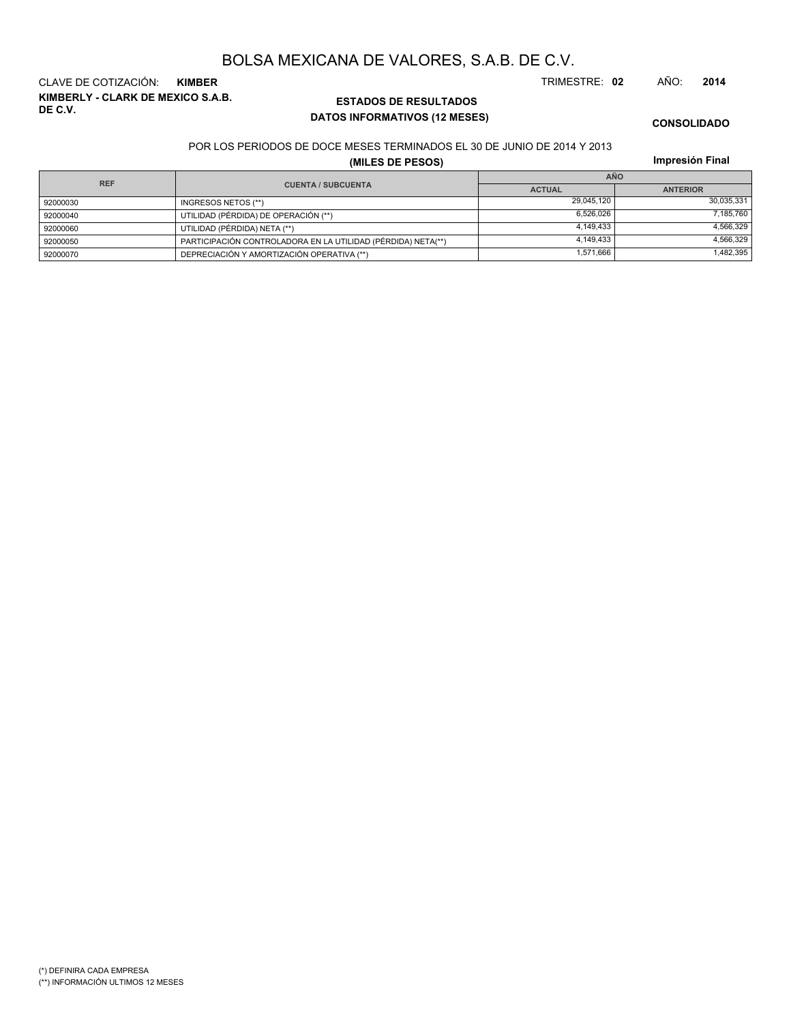**KIMBERLY - CLARK DE MEXICO S.A.B. DE C.V.** CLAVE DE COTIZACIÓN: **KIMBER** TRIMESTRE: **02** AÑO: **2014**

#### **ESTADOS DE RESULTADOS DATOS INFORMATIVOS (12 MESES)**

**CONSOLIDADO**

#### POR LOS PERIODOS DE DOCE MESES TERMINADOS EL 30 DE JUNIO DE 2014 Y 2013

**(MILES DE PESOS)**

**Impresión Final**

| <b>REF</b> |                                                              | <b>AÑO</b>    |                 |  |  |
|------------|--------------------------------------------------------------|---------------|-----------------|--|--|
|            | <b>CUENTA / SUBCUENTA</b>                                    | <b>ACTUAL</b> | <b>ANTERIOR</b> |  |  |
| 92000030   | INGRESOS NETOS (**)                                          | 29.045.120    | 30.035.331      |  |  |
| 92000040   | UTILIDAD (PÉRDIDA) DE OPERACIÓN (**)                         | 6.526.026     | 7.185.760       |  |  |
| 92000060   | UTILIDAD (PÉRDIDA) NETA (**)                                 | 4.149.433     | 4,566,329       |  |  |
| 92000050   | PARTICIPACIÓN CONTROLADORA EN LA UTILIDAD (PÉRDIDA) NETA(**) | 4.149.433     | 4.566.329       |  |  |
| 92000070   | DEPRECIACIÓN Y AMORTIZACIÓN OPERATIVA (**)                   | 1,571,666     | 1,482,395       |  |  |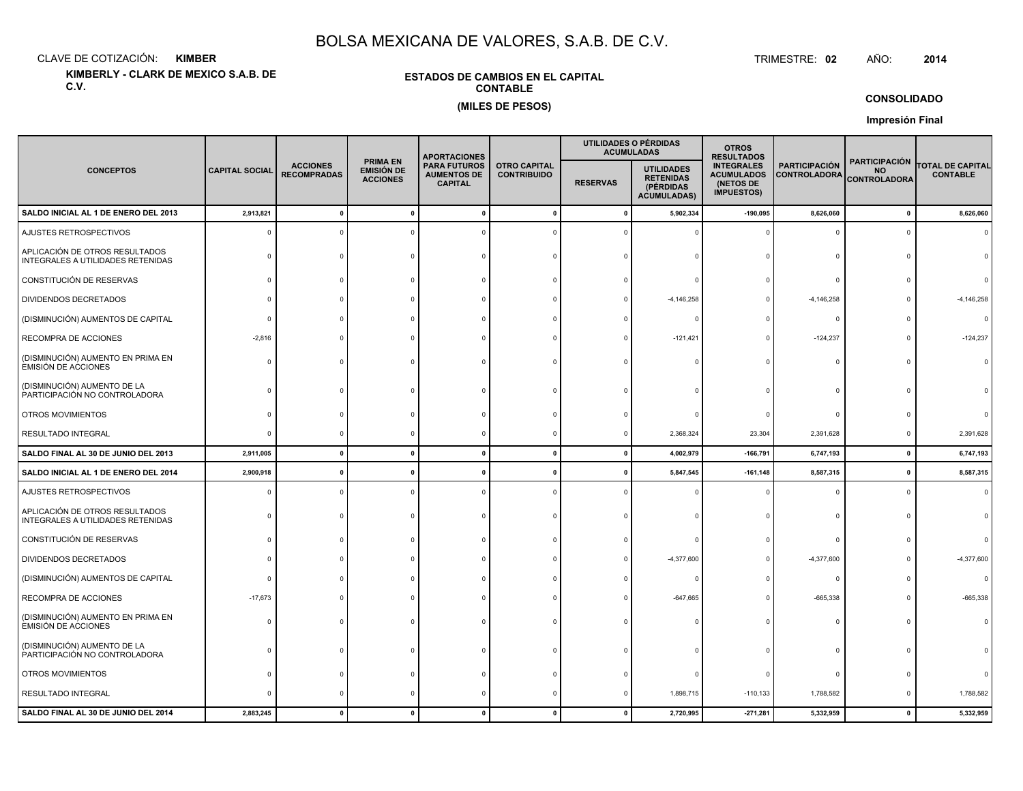CLAVE DE COTIZACIÓN:**KIMBER**: KIMBER TRIMESTRE:

**KIMBERLY - CLARK DE MEXICO S.A.B. DE C.V.**

#### **ESTADOS DE CAMBIOS EN EL CAPITALCONTABLE(MILES DE PESOS)**

TRIMESTRE: 02 AÑO: **<sup>2014</sup>**

**CONSOLIDADO**

**Impresión Final**

| <b>CONCEPTOS</b>                                                    | <b>CAPITAL SOCIAL</b> |                                       |                                                         |                                                             | <b>APORTACIONES</b>                       |                 |                                                                          | UTILIDADES O PÉRDIDAS<br><b>ACUMULADAS</b>                               | <b>OTROS</b><br><b>RESULTADOS</b>           |                                                          |                                            |  |
|---------------------------------------------------------------------|-----------------------|---------------------------------------|---------------------------------------------------------|-------------------------------------------------------------|-------------------------------------------|-----------------|--------------------------------------------------------------------------|--------------------------------------------------------------------------|---------------------------------------------|----------------------------------------------------------|--------------------------------------------|--|
|                                                                     |                       | <b>ACCIONES</b><br><b>RECOMPRADAS</b> | <b>PRIMA EN</b><br><b>EMISIÓN DE</b><br><b>ACCIONES</b> | <b>PARA FUTUROS</b><br><b>AUMENTOS DE</b><br><b>CAPITAL</b> | <b>OTRO CAPITAL</b><br><b>CONTRIBUIDO</b> | <b>RESERVAS</b> | <b>UTILIDADES</b><br><b>RETENIDAS</b><br>(PÉRDIDAS<br><b>ACUMULADAS)</b> | <b>INTEGRALES</b><br><b>ACUMULADOS</b><br>(NETOS DE<br><b>IMPUESTOS)</b> | <b>PARTICIPACIÓN</b><br><b>CONTROLADORA</b> | <b>PARTICIPACIÓN</b><br><b>NO</b><br><b>CONTROLADORA</b> | <b>TOTAL DE CAPITAL</b><br><b>CONTABLE</b> |  |
| SALDO INICIAL AL 1 DE ENERO DEL 2013                                | 2,913,821             | $\Omega$                              | $\Omega$                                                |                                                             | $\Omega$                                  | $\mathbf{0}$    | 5,902,334                                                                | $-190,095$                                                               | 8,626,060                                   | 0                                                        | 8,626,060                                  |  |
| AJUSTES RETROSPECTIVOS                                              |                       |                                       |                                                         |                                                             |                                           |                 |                                                                          |                                                                          | 0                                           | $\Omega$                                                 |                                            |  |
| APLICACIÓN DE OTROS RESULTADOS<br>INTEGRALES A UTILIDADES RETENIDAS |                       |                                       |                                                         |                                                             |                                           |                 |                                                                          |                                                                          | $\Omega$                                    |                                                          |                                            |  |
| CONSTITUCIÓN DE RESERVAS                                            |                       |                                       |                                                         |                                                             |                                           |                 |                                                                          |                                                                          | $\Omega$                                    |                                                          |                                            |  |
| <b>DIVIDENDOS DECRETADOS</b>                                        |                       |                                       |                                                         |                                                             |                                           |                 | $-4, 146, 258$                                                           |                                                                          | $-4,146,258$                                |                                                          | $-4, 146, 258$                             |  |
| (DISMINUCIÓN) AUMENTOS DE CAPITAL                                   |                       |                                       |                                                         |                                                             |                                           |                 |                                                                          |                                                                          | $\Omega$                                    |                                                          |                                            |  |
| RECOMPRA DE ACCIONES                                                | $-2,816$              |                                       |                                                         |                                                             |                                           |                 | $-121,421$                                                               | $\Omega$                                                                 | $-124,237$                                  | $\Omega$                                                 | $-124,237$                                 |  |
| (DISMINUCIÓN) AUMENTO EN PRIMA EN<br><b>EMISIÓN DE ACCIONES</b>     |                       |                                       |                                                         |                                                             |                                           |                 |                                                                          |                                                                          | $\Omega$                                    | $\Omega$                                                 |                                            |  |
| (DISMINUCIÓN) AUMENTO DE LA<br>PARTICIPACIÓN NO CONTROLADORA        |                       |                                       |                                                         |                                                             |                                           |                 |                                                                          |                                                                          |                                             |                                                          |                                            |  |
| OTROS MOVIMIENTOS                                                   |                       |                                       |                                                         |                                                             |                                           |                 |                                                                          |                                                                          | 0                                           |                                                          |                                            |  |
| <b>RESULTADO INTEGRAL</b>                                           |                       |                                       |                                                         |                                                             |                                           |                 | 2,368,324                                                                | 23,304                                                                   | 2,391,628                                   | $\mathbf 0$                                              | 2,391,628                                  |  |
| SALDO FINAL AL 30 DE JUNIO DEL 2013                                 | 2,911,005             | $\pmb{0}$                             | $\mathbf{0}$                                            |                                                             | $\mathbf{0}$                              | 0               | 4,002,979                                                                | $-166,791$                                                               | 6,747,193                                   | $\pmb{\mathsf{o}}$                                       | 6,747,193                                  |  |
| SALDO INICIAL AL 1 DE ENERO DEL 2014                                | 2,900,918             | $\mathbf{0}$                          | $\mathbf{0}$                                            |                                                             |                                           | n               | 5,847,545                                                                | $-161,148$                                                               | 8,587,315                                   | $\mathbf 0$                                              | 8,587,315                                  |  |
| AJUSTES RETROSPECTIVOS                                              |                       |                                       |                                                         |                                                             |                                           |                 |                                                                          |                                                                          | $\Omega$                                    | $\Omega$                                                 | $\Omega$                                   |  |
| APLICACIÓN DE OTROS RESULTADOS<br>INTEGRALES A UTILIDADES RETENIDAS |                       |                                       |                                                         |                                                             |                                           |                 |                                                                          |                                                                          | $\Omega$                                    | $\Omega$                                                 |                                            |  |
| CONSTITUCIÓN DE RESERVAS                                            |                       |                                       |                                                         |                                                             |                                           |                 |                                                                          |                                                                          | $\mathbf 0$                                 |                                                          |                                            |  |
| <b>DIVIDENDOS DECRETADOS</b>                                        |                       |                                       |                                                         |                                                             |                                           |                 | $-4,377,600$                                                             |                                                                          | $-4,377,600$                                | $\Omega$                                                 | $-4,377,600$                               |  |
| (DISMINUCIÓN) AUMENTOS DE CAPITAL                                   |                       |                                       |                                                         |                                                             |                                           |                 |                                                                          |                                                                          | $\mathbf 0$                                 |                                                          |                                            |  |
| RECOMPRA DE ACCIONES                                                | $-17,673$             |                                       |                                                         |                                                             |                                           |                 | $-647,665$                                                               |                                                                          | $-665,338$                                  |                                                          | -665,338                                   |  |
| (DISMINUCIÓN) AUMENTO EN PRIMA EN<br><b>EMISIÓN DE ACCIONES</b>     |                       |                                       |                                                         |                                                             |                                           |                 |                                                                          |                                                                          | $\Omega$                                    |                                                          |                                            |  |
| (DISMINUCIÓN) AUMENTO DE LA<br>PARTICIPACIÓN NO CONTROLADORA        |                       |                                       |                                                         |                                                             |                                           |                 |                                                                          |                                                                          | $\Omega$                                    | $\Omega$                                                 |                                            |  |
| OTROS MOVIMIENTOS                                                   |                       |                                       |                                                         |                                                             |                                           |                 |                                                                          |                                                                          | $\mathbf 0$                                 |                                                          |                                            |  |
| RESULTADO INTEGRAL                                                  |                       | $\Omega$                              |                                                         |                                                             |                                           |                 | 1,898,715                                                                | $-110, 133$                                                              | 1,788,582                                   | 0                                                        | 1,788,582                                  |  |
| SALDO FINAL AL 30 DE JUNIO DEL 2014                                 | 2,883,245             | $\mathbf{0}$                          |                                                         |                                                             |                                           | $\mathbf{0}$    | 2,720,995                                                                | $-271,281$                                                               | 5,332,959                                   | $\mathbf{0}$                                             | 5,332,959                                  |  |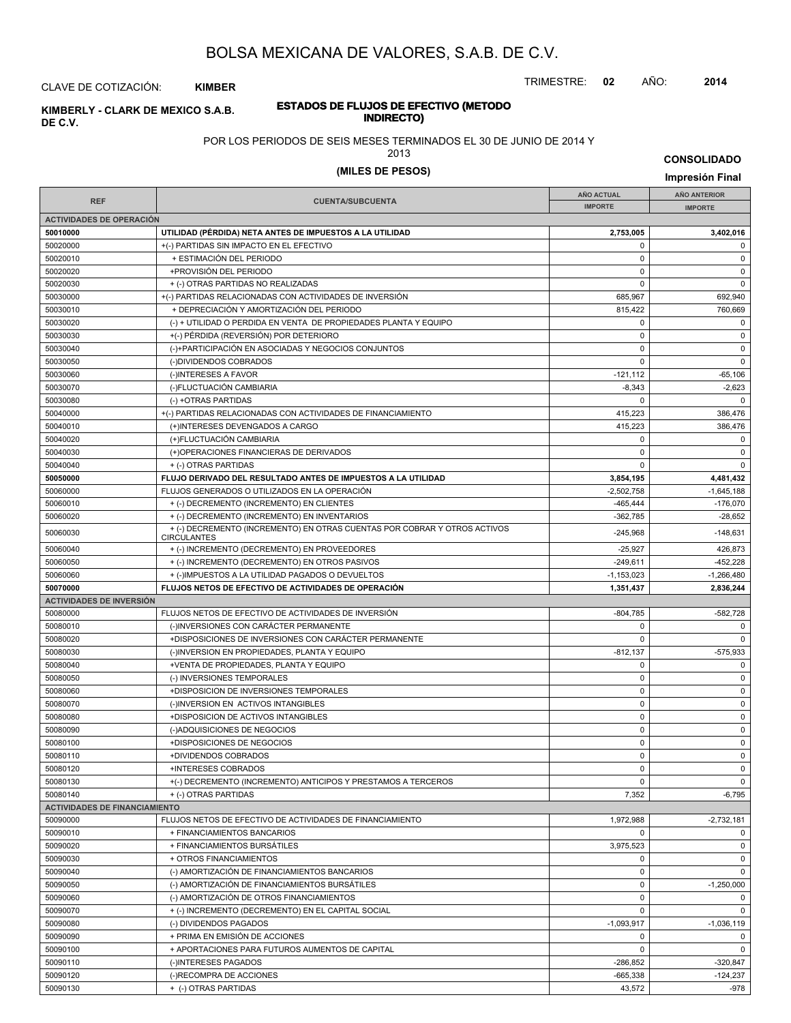TRIMESTRE: **02** AÑO: **2014**

**INDIRECTO) KIMBERLY - CLARK DE MEXICO S.A.B.** CLAVE DE COTIZACIÓN: **KIMBER**

**DE C.V.**

# **ESTADOS DE FLUJOS DE EFECTIVO (METODO**

POR LOS PERIODOS DE SEIS MESES TERMINADOS EL 30 DE JUNIO DE 2014 Y

2013

| <b>ZU 13</b>     | <b>CONSOLIDADO</b> |
|------------------|--------------------|
| (MILES DE PESOS) | Impresión Final    |

|                                      |                                                                                                                           | <b>AÑO ACTUAL</b>        | AÑO ANTERIOR            |
|--------------------------------------|---------------------------------------------------------------------------------------------------------------------------|--------------------------|-------------------------|
| <b>REF</b>                           | <b>CUENTA/SUBCUENTA</b>                                                                                                   | <b>IMPORTE</b>           | <b>IMPORTE</b>          |
| <b>ACTIVIDADES DE OPERACIÓN</b>      |                                                                                                                           |                          |                         |
| 50010000                             | UTILIDAD (PÉRDIDA) NETA ANTES DE IMPUESTOS A LA UTILIDAD                                                                  | 2,753,005                | 3,402,016               |
| 50020000                             | +(-) PARTIDAS SIN IMPACTO EN EL EFECTIVO                                                                                  | 0                        | 0                       |
| 50020010                             | + ESTIMACIÓN DEL PERIODO                                                                                                  | $\mathbf 0$              | $\mathbf 0$             |
| 50020020                             | +PROVISIÓN DEL PERIODO                                                                                                    | $\mathbf 0$              | $\mathsf 0$             |
| 50020030                             | + (-) OTRAS PARTIDAS NO REALIZADAS                                                                                        | $\mathbf 0$              | $\mathbf 0$             |
| 50030000                             | +(-) PARTIDAS RELACIONADAS CON ACTIVIDADES DE INVERSIÓN                                                                   | 685,967                  | 692,940                 |
| 50030010                             | + DEPRECIACIÓN Y AMORTIZACIÓN DEL PERIODO                                                                                 | 815,422                  | 760,669                 |
| 50030020                             | (-) + UTILIDAD O PERDIDA EN VENTA DE PROPIEDADES PLANTA Y EQUIPO                                                          | 0                        | $\mathbf 0$             |
| 50030030                             | +(-) PÉRDIDA (REVERSIÓN) POR DETERIORO                                                                                    | $\mathbf 0$              | $\mathbf 0$             |
| 50030040                             | (-)+PARTICIPACIÓN EN ASOCIADAS Y NEGOCIOS CONJUNTOS                                                                       | $\mathbf 0$              | $\mathsf 0$             |
| 50030050                             | (-)DIVIDENDOS COBRADOS                                                                                                    | $\mathbf 0$              | $\mathbf 0$             |
| 50030060                             | (-)INTERESES A FAVOR                                                                                                      | $-121, 112$              | $-65,106$               |
| 50030070                             | (-)FLUCTUACIÓN CAMBIARIA                                                                                                  | $-8,343$                 | $-2,623$                |
| 50030080                             | (-) +OTRAS PARTIDAS                                                                                                       | 0                        | $\mathbf 0$             |
| 50040000                             | +(-) PARTIDAS RELACIONADAS CON ACTIVIDADES DE FINANCIAMIENTO                                                              | 415,223                  | 386,476                 |
| 50040010                             | (+)INTERESES DEVENGADOS A CARGO                                                                                           | 415,223                  | 386,476                 |
| 50040020                             | (+)FLUCTUACIÓN CAMBIARIA                                                                                                  | 0                        | 0                       |
| 50040030                             | (+)OPERACIONES FINANCIERAS DE DERIVADOS                                                                                   | 0                        | $\mathbf 0$             |
| 50040040                             | + (-) OTRAS PARTIDAS                                                                                                      | $\Omega$                 | $\mathbf 0$             |
| 50050000                             | FLUJO DERIVADO DEL RESULTADO ANTES DE IMPUESTOS A LA UTILIDAD                                                             | 3,854,195                | 4,481,432               |
| 50060000                             | FLUJOS GENERADOS O UTILIZADOS EN LA OPERACIÓN                                                                             | $-2,502,758$             | $-1,645,188$            |
| 50060010                             | + (-) DECREMENTO (INCREMENTO) EN CLIENTES                                                                                 | $-465, 444$              | $-176,070$              |
| 50060020<br>50060030                 | + (-) DECREMENTO (INCREMENTO) EN INVENTARIOS<br>+ (-) DECREMENTO (INCREMENTO) EN OTRAS CUENTAS POR COBRAR Y OTROS ACTIVOS | $-362,785$<br>$-245.968$ | $-28,652$<br>$-148,631$ |
| 50060040                             | <b>CIRCULANTES</b><br>+ (-) INCREMENTO (DECREMENTO) EN PROVEEDORES                                                        | $-25,927$                | 426,873                 |
| 50060050                             | + (-) INCREMENTO (DECREMENTO) EN OTROS PASIVOS                                                                            | $-249,611$               | $-452,228$              |
| 50060060                             | + (-)IMPUESTOS A LA UTILIDAD PAGADOS O DEVUELTOS                                                                          | $-1,153,023$             | $-1,266,480$            |
| 50070000                             | <b>FLUJOS NETOS DE EFECTIVO DE ACTIVIDADES DE OPERACIÓN</b>                                                               | 1,351,437                | 2,836,244               |
| <b>ACTIVIDADES DE INVERSIÓN</b>      |                                                                                                                           |                          |                         |
| 50080000                             | FLUJOS NETOS DE EFECTIVO DE ACTIVIDADES DE INVERSIÓN                                                                      | $-804,785$               | $-582,728$              |
| 50080010                             | (-)INVERSIONES CON CARÁCTER PERMANENTE                                                                                    | 0                        | 0                       |
| 50080020                             | +DISPOSICIONES DE INVERSIONES CON CARÁCTER PERMANENTE                                                                     | 0                        | $\mathbf 0$             |
| 50080030                             | (-)INVERSION EN PROPIEDADES, PLANTA Y EQUIPO                                                                              | $-812, 137$              | $-575,933$              |
| 50080040                             | +VENTA DE PROPIEDADES, PLANTA Y EQUIPO                                                                                    | $\mathbf 0$              | $\mathbf 0$             |
| 50080050                             | (-) INVERSIONES TEMPORALES                                                                                                | $\mathbf 0$              | $\mathbf 0$             |
| 50080060                             | +DISPOSICION DE INVERSIONES TEMPORALES                                                                                    | $\pmb{0}$                | $\mathbf 0$             |
| 50080070                             | (-)INVERSION EN ACTIVOS INTANGIBLES                                                                                       | $\mathbf 0$              | $\mathbf 0$             |
| 50080080                             | +DISPOSICION DE ACTIVOS INTANGIBLES                                                                                       | $\mathbf 0$              | $\mathbf 0$             |
| 50080090                             | (-)ADQUISICIONES DE NEGOCIOS                                                                                              | 0                        | $\mathbf 0$             |
| 50080100                             | +DISPOSICIONES DE NEGOCIOS                                                                                                | $\mathbf 0$              | $\mathbf 0$             |
| 50080110                             | +DIVIDENDOS COBRADOS                                                                                                      | $\mathbf 0$              | $\mathbf 0$             |
| 50080120                             | +INTERESES COBRADOS                                                                                                       | 0                        |                         |
| 50080130                             | +(-) DECREMENTO (INCREMENTO) ANTICIPOS Y PRESTAMOS A TERCEROS                                                             | $\mathbf 0$              | $\mathbf 0$             |
| 50080140                             | + (-) OTRAS PARTIDAS                                                                                                      | 7,352                    | $-6,795$                |
| <b>ACTIVIDADES DE FINANCIAMIENTO</b> |                                                                                                                           |                          |                         |
| 50090000                             | FLUJOS NETOS DE EFECTIVO DE ACTIVIDADES DE FINANCIAMIENTO                                                                 | 1,972,988                | $-2,732,181$            |
| 50090010                             | + FINANCIAMIENTOS BANCARIOS                                                                                               | 0                        | $\mathbf 0$             |
| 50090020                             | + FINANCIAMIENTOS BURSÁTILES                                                                                              | 3,975,523                | $\mathbf 0$             |
| 50090030                             | + OTROS FINANCIAMIENTOS                                                                                                   | 0                        | $\mathbf 0$             |
| 50090040                             | (-) AMORTIZACIÓN DE FINANCIAMIENTOS BANCARIOS                                                                             | 0                        | $\mathbf 0$             |
| 50090050                             | (-) AMORTIZACIÓN DE FINANCIAMIENTOS BURSÁTILES                                                                            | $\pmb{0}$                | $-1,250,000$            |
| 50090060                             | (-) AMORTIZACIÓN DE OTROS FINANCIAMIENTOS                                                                                 | $\pmb{0}$                | $\mathbf 0$             |
| 50090070                             | + (-) INCREMENTO (DECREMENTO) EN EL CAPITAL SOCIAL                                                                        | $\pmb{0}$                | $\mathbf 0$             |
| 50090080                             | (-) DIVIDENDOS PAGADOS                                                                                                    | $-1,093,917$             | $-1,036,119$            |
| 50090090                             | + PRIMA EN EMISIÓN DE ACCIONES                                                                                            | $\pmb{0}$                | $\mathbf 0$             |
| 50090100                             | + APORTACIONES PARA FUTUROS AUMENTOS DE CAPITAL                                                                           | $\pmb{0}$                | $\mathbf 0$             |
| 50090110                             | (-)INTERESES PAGADOS                                                                                                      | $-286,852$               | $-320,847$              |
| 50090120                             | (-)RECOMPRA DE ACCIONES                                                                                                   | $-665,338$               | $-124,237$              |
| 50090130                             | + (-) OTRAS PARTIDAS                                                                                                      | 43,572                   | $-978$                  |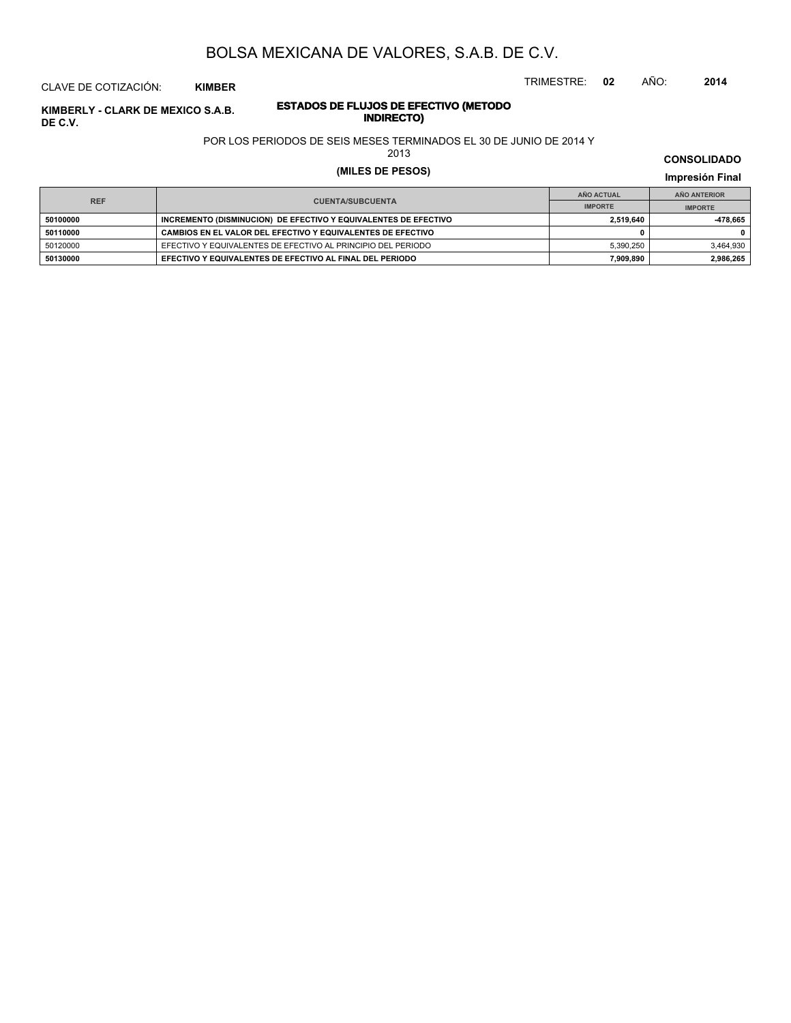TRIMESTRE: **02** AÑO: **2014**

# CLAVE DE COTIZACIÓN: **KIMBER**

# **ESTADOS DE FLUJOS DE EFECTIVO (METODO INDIRECTO) KIMBERLY - CLARK DE MEXICO S.A.B. DE C.V.**

POR LOS PERIODOS DE SEIS MESES TERMINADOS EL 30 DE JUNIO DE 2014 Y

2013

# **(MILES DE PESOS) Impresión Final**

|            |                                                                 | AÑO ACTUAL     | AÑO ANTERIOR   |
|------------|-----------------------------------------------------------------|----------------|----------------|
| <b>REF</b> | <b>CUENTA/SUBCUENTA</b>                                         | <b>IMPORTE</b> | <b>IMPORTE</b> |
| 50100000   | INCREMENTO (DISMINUCION) DE EFECTIVO Y EQUIVALENTES DE EFECTIVO | 2.519.640      | 478.665        |
| 50110000   | CAMBIOS EN EL VALOR DEL EFECTIVO Y EQUIVALENTES DE EFECTIVO     |                |                |
| 50120000   | EFECTIVO Y EQUIVALENTES DE EFECTIVO AL PRINCIPIO DEL PERIODO    | 5.390.250      | 3.464.930      |
| 50130000   | EFECTIVO Y EQUIVALENTES DE EFECTIVO AL FINAL DEL PERIODO        | 7.909.890      | 2.986.265      |

**CONSOLIDADO**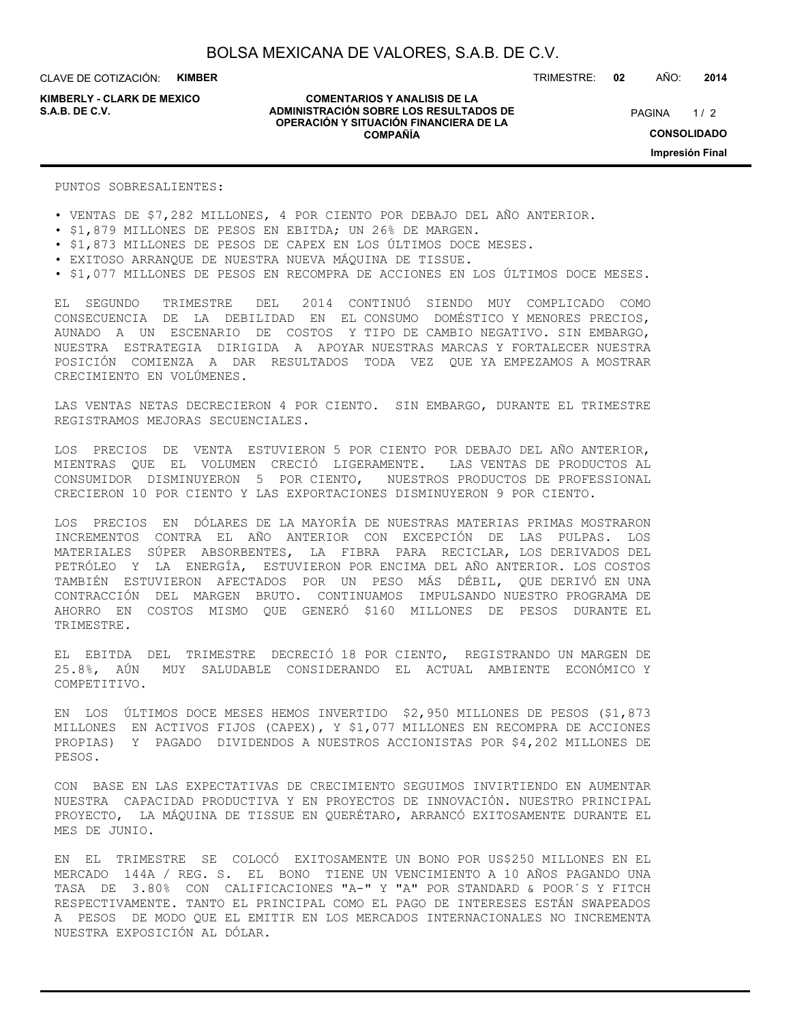**KIMBERLY - CLARK DE MEXICO**

#### **COMENTARIOS Y ANALISIS DE LA ADMINISTRACIÓN SOBRE LOS RESULTADOS DE S.A.B. DE C.V.** PAGINA / 2 **OPERACIÓN Y SITUACIÓN FINANCIERA DE LA COMPAÑÍA**

TRIMESTRE: **02** AÑO: **2014**

PAGINA 1/2 **CONSOLIDADO Impresión Final**

PUNTOS SOBRESALIENTES:

- VENTAS DE \$7,282 MILLONES, 4 POR CIENTO POR DEBAJO DEL AÑO ANTERIOR.
- \$1,879 MILLONES DE PESOS EN EBITDA; UN 26% DE MARGEN.
- \$1,873 MILLONES DE PESOS DE CAPEX EN LOS ÚLTIMOS DOCE MESES.
- EXITOSO ARRANQUE DE NUESTRA NUEVA MÁQUINA DE TISSUE.
- \$1,077 MILLONES DE PESOS EN RECOMPRA DE ACCIONES EN LOS ÚLTIMOS DOCE MESES.

EL SEGUNDO TRIMESTRE DEL 2014 CONTINUÓ SIENDO MUY COMPLICADO COMO CONSECUENCIA DE LA DEBILIDAD EN EL CONSUMO DOMÉSTICO Y MENORES PRECIOS, AUNADO A UN ESCENARIO DE COSTOS Y TIPO DE CAMBIO NEGATIVO. SIN EMBARGO, NUESTRA ESTRATEGIA DIRIGIDA A APOYAR NUESTRAS MARCAS Y FORTALECER NUESTRA POSICIÓN COMIENZA A DAR RESULTADOS TODA VEZ QUE YA EMPEZAMOS A MOSTRAR CRECIMIENTO EN VOLÚMENES.

LAS VENTAS NETAS DECRECIERON 4 POR CIENTO. SIN EMBARGO, DURANTE EL TRIMESTRE REGISTRAMOS MEJORAS SECUENCIALES.

LOS PRECIOS DE VENTA ESTUVIERON 5 POR CIENTO POR DEBAJO DEL AÑO ANTERIOR, MIENTRAS QUE EL VOLUMEN CRECIÓ LIGERAMENTE. LAS VENTAS DE PRODUCTOS AL CONSUMIDOR DISMINUYERON 5 POR CIENTO, NUESTROS PRODUCTOS DE PROFESSIONAL CRECIERON 10 POR CIENTO Y LAS EXPORTACIONES DISMINUYERON 9 POR CIENTO.

LOS PRECIOS EN DÓLARES DE LA MAYORÍA DE NUESTRAS MATERIAS PRIMAS MOSTRARON INCREMENTOS CONTRA EL AÑO ANTERIOR CON EXCEPCIÓN DE LAS PULPAS. LOS MATERIALES SÚPER ABSORBENTES, LA FIBRA PARA RECICLAR, LOS DERIVADOS DEL PETRÓLEO Y LA ENERGÍA, ESTUVIERON POR ENCIMA DEL AÑO ANTERIOR. LOS COSTOS TAMBIÉN ESTUVIERON AFECTADOS POR UN PESO MÁS DÉBIL, QUE DERIVÓ EN UNA CONTRACCIÓN DEL MARGEN BRUTO. CONTINUAMOS IMPULSANDO NUESTRO PROGRAMA DE AHORRO EN COSTOS MISMO QUE GENERÓ \$160 MILLONES DE PESOS DURANTE EL TRIMESTRE.

EL EBITDA DEL TRIMESTRE DECRECIÓ 18 POR CIENTO, REGISTRANDO UN MARGEN DE 25.8%, AÚN MUY SALUDABLE CONSIDERANDO EL ACTUAL AMBIENTE ECONÓMICO Y COMPETITIVO.

EN LOS ÚLTIMOS DOCE MESES HEMOS INVERTIDO \$2,950 MILLONES DE PESOS (\$1,873 MILLONES EN ACTIVOS FIJOS (CAPEX), Y \$1,077 MILLONES EN RECOMPRA DE ACCIONES PROPIAS) Y PAGADO DIVIDENDOS A NUESTROS ACCIONISTAS POR \$4,202 MILLONES DE PESOS.

CON BASE EN LAS EXPECTATIVAS DE CRECIMIENTO SEGUIMOS INVIRTIENDO EN AUMENTAR NUESTRA CAPACIDAD PRODUCTIVA Y EN PROYECTOS DE INNOVACIÓN. NUESTRO PRINCIPAL PROYECTO, LA MÁQUINA DE TISSUE EN QUERÉTARO, ARRANCÓ EXITOSAMENTE DURANTE EL MES DE JUNIO.

EN EL TRIMESTRE SE COLOCÓ EXITOSAMENTE UN BONO POR US\$250 MILLONES EN EL MERCADO 144A / REG. S. EL BONO TIENE UN VENCIMIENTO A 10 AÑOS PAGANDO UNA TASA DE 3.80% CON CALIFICACIONES "A-" Y "A" POR STANDARD & POOR´S Y FITCH RESPECTIVAMENTE. TANTO EL PRINCIPAL COMO EL PAGO DE INTERESES ESTÁN SWAPEADOS A PESOS DE MODO QUE EL EMITIR EN LOS MERCADOS INTERNACIONALES NO INCREMENTA NUESTRA EXPOSICIÓN AL DÓLAR.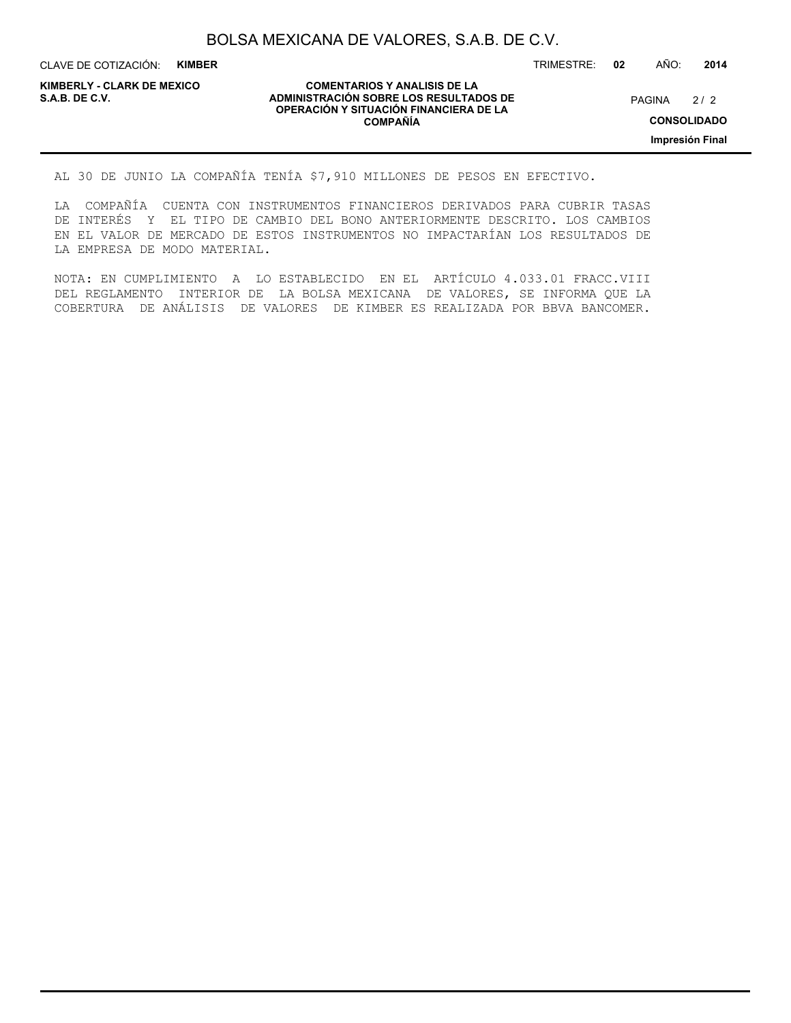CLAVE DE COTIZACIÓN: **KIMBER**

**KIMBERLY - CLARK DE MEXICO**

#### **COMENTARIOS Y ANALISIS DE LA ADMINISTRACIÓN SOBRE LOS RESULTADOS DE PAGINA 2/2 ADMINISTRACIÓN SOBRE LOS RESULTADOS DE** PAGINA 2/2 **OPERACIÓN Y SITUACIÓN FINANCIERA DE LA COMPAÑÍA**

 $2/2$ 

TRIMESTRE: **02** AÑO: **2014**

**Impresión Final**

AL 30 DE JUNIO LA COMPAÑÍA TENÍA \$7,910 MILLONES DE PESOS EN EFECTIVO.

LA COMPAÑÍA CUENTA CON INSTRUMENTOS FINANCIEROS DERIVADOS PARA CUBRIR TASAS DE INTERÉS Y EL TIPO DE CAMBIO DEL BONO ANTERIORMENTE DESCRITO. LOS CAMBIOS EN EL VALOR DE MERCADO DE ESTOS INSTRUMENTOS NO IMPACTARÍAN LOS RESULTADOS DE LA EMPRESA DE MODO MATERIAL.

NOTA: EN CUMPLIMIENTO A LO ESTABLECIDO EN EL ARTÍCULO 4.033.01 FRACC.VIII DEL REGLAMENTO INTERIOR DE LA BOLSA MEXICANA DE VALORES, SE INFORMA QUE LA COBERTURA DE ANÁLISIS DE VALORES DE KIMBER ES REALIZADA POR BBVA BANCOMER.

**CONSOLIDADO**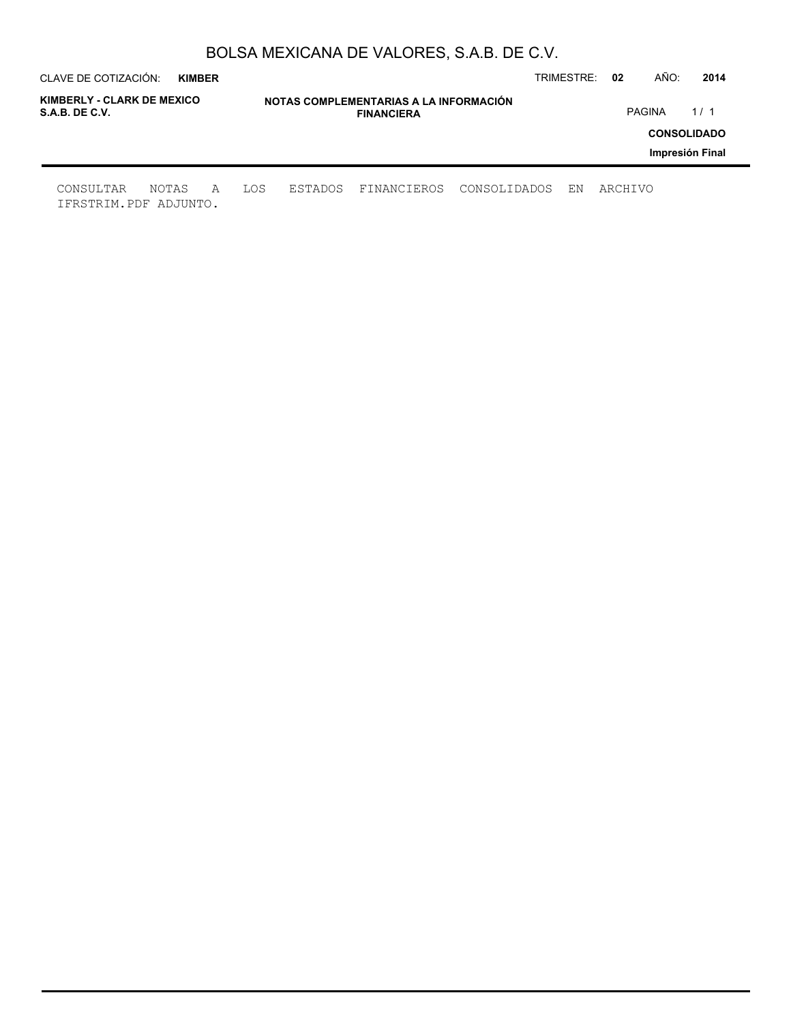|                                              | CLAVE DE COTIZACIÓN:<br><b>KIMBER</b> |   |     |                                                             |             |              | TRIMESTRE: | 02      | AÑO:          | 2014               |
|----------------------------------------------|---------------------------------------|---|-----|-------------------------------------------------------------|-------------|--------------|------------|---------|---------------|--------------------|
| KIMBERLY - CLARK DE MEXICO<br>S.A.B. DE C.V. |                                       |   |     | NOTAS COMPLEMENTARIAS A LA INFORMACIÓN<br><b>FINANCIERA</b> |             |              |            |         | <b>PAGINA</b> | 1/1                |
|                                              |                                       |   |     |                                                             |             |              |            |         |               | <b>CONSOLIDADO</b> |
|                                              |                                       |   |     |                                                             |             |              |            |         |               | Impresión Final    |
| CONSULTAR<br>IFRSTRIM.PDF ADJUNTO.           | NOTAS                                 | A | LOS | ESTADOS                                                     | FINANCIEROS | CONSOLIDADOS | ΕN         | ARCHIVO |               |                    |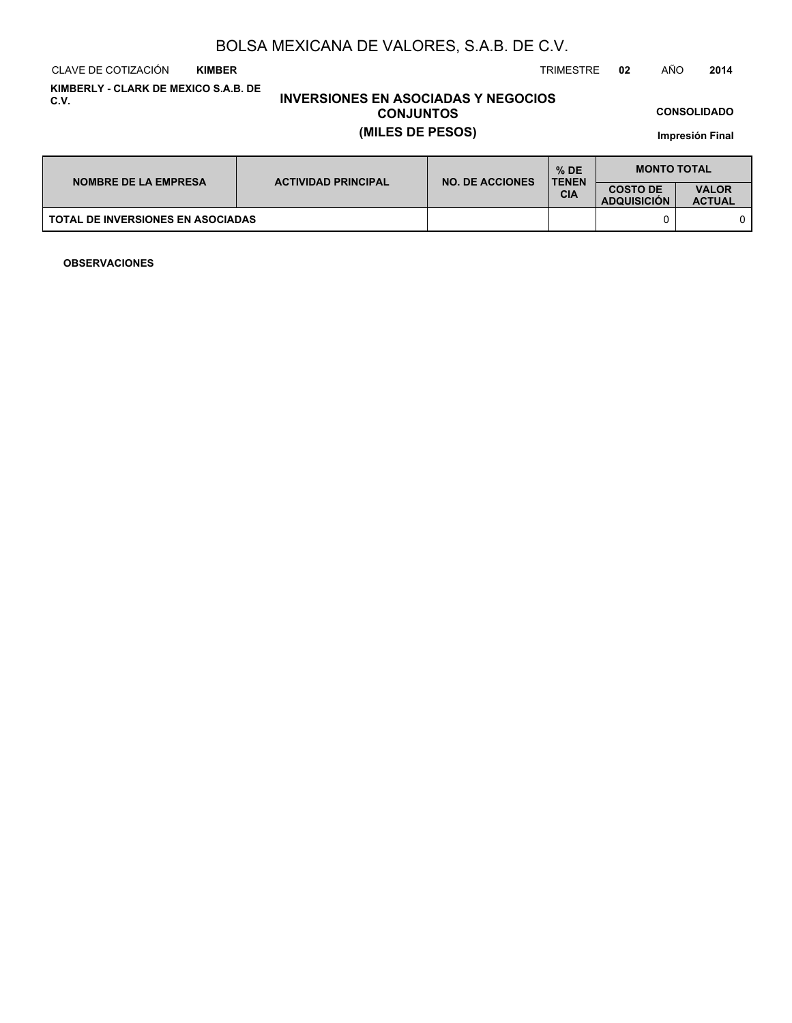CLAVE DE COTIZACIÓN TRIMESTRE **02** AÑO **2014 KIMBER**

**KIMBERLY - CLARK DE MEXICO S.A.B. DE C.V.**

# **INVERSIONES EN ASOCIADAS Y NEGOCIOS CONJUNTOS (MILES DE PESOS)**

**CONSOLIDADO**

**Impresión Final**

| <b>NOMBRE DE LA EMPRESA</b>              | <b>ACTIVIDAD PRINCIPAL</b> | <b>NO. DE ACCIONES</b> | $%$ DE<br><b>TENEN</b> | <b>MONTO TOTAL</b>                    |                               |  |
|------------------------------------------|----------------------------|------------------------|------------------------|---------------------------------------|-------------------------------|--|
|                                          |                            |                        | CIA                    | <b>COSTO DE</b><br><b>ADQUISICION</b> | <b>VALOR</b><br><b>ACTUAL</b> |  |
| <b>TOTAL DE INVERSIONES EN ASOCIADAS</b> |                            |                        |                        |                                       |                               |  |

**OBSERVACIONES**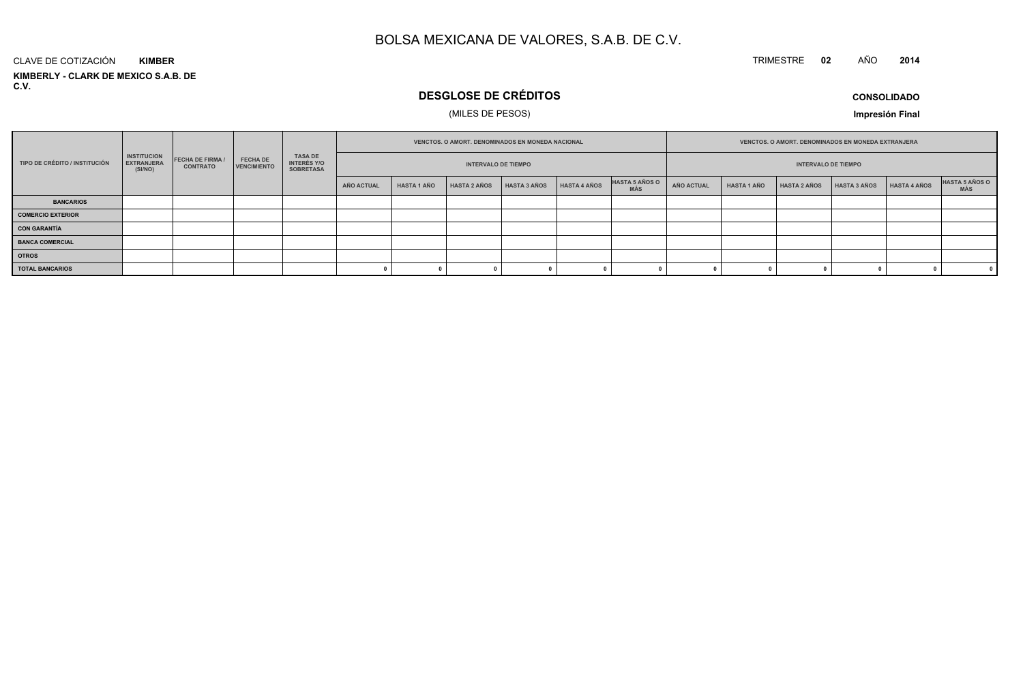#### TRIMESTRE **<sup>02</sup>** AÑO**<sup>2014</sup>**

**KIMBERLY - CLARK DE MEXICO S.A.B. DE C.V.**CLAVE DE COTIZACIÓN**KIMBER**

# **DESGLOSE DE CRÉDITOS**

## (MILES DE PESOS)

**CONSOLIDADO**

**Impresión Final**

|                               |                                                    |                                          |                                |                                            | VENCTOS, O AMORT, DENOMINADOS EN MONEDA NACIONAL |                            |                     |              |                            |                              | <b>VENCTOS, O AMORT, DENOMINADOS EN MONEDA EXTRANJERA</b> |                    |                     |                     |              |                       |
|-------------------------------|----------------------------------------------------|------------------------------------------|--------------------------------|--------------------------------------------|--------------------------------------------------|----------------------------|---------------------|--------------|----------------------------|------------------------------|-----------------------------------------------------------|--------------------|---------------------|---------------------|--------------|-----------------------|
| TIPO DE CRÉDITO / INSTITUCIÓN | <b>INSTITUCION</b><br><b>EXTRANJERA</b><br>(SI/NO) | <b>FECHA DE FIRMA</b><br><b>CONTRATO</b> | <b>FECHA DE</b><br>VENCIMIENTO | TASA DE<br>INTERÉS Y/O<br><b>SOBRETASA</b> |                                                  | <b>INTERVALO DE TIEMPO</b> |                     |              | <b>INTERVALO DE TIEMPO</b> |                              |                                                           |                    |                     |                     |              |                       |
|                               |                                                    |                                          |                                |                                            | AÑO ACTUAL                                       | <b>HASTA 1 AÑO</b>         | <b>HASTA 2 AÑOS</b> | HASTA 3 AÑOS | HASTA 4 AÑOS               | HASTA 5 AÑOS O<br><b>MÁS</b> | AÑO ACTUAL                                                | <b>HASTA 1 AÑO</b> | <b>HASTA 2 AÑOS</b> | <b>HASTA 3 AÑOS</b> | HASTA 4 AÑOS | HASTA 5 AÑOS O<br>MÁS |
| <b>BANCARIOS</b>              |                                                    |                                          |                                |                                            |                                                  |                            |                     |              |                            |                              |                                                           |                    |                     |                     |              |                       |
| <b>COMERCIO EXTERIOR</b>      |                                                    |                                          |                                |                                            |                                                  |                            |                     |              |                            |                              |                                                           |                    |                     |                     |              |                       |
| <b>CON GARANTÍA</b>           |                                                    |                                          |                                |                                            |                                                  |                            |                     |              |                            |                              |                                                           |                    |                     |                     |              |                       |
| <b>BANCA COMERCIAL</b>        |                                                    |                                          |                                |                                            |                                                  |                            |                     |              |                            |                              |                                                           |                    |                     |                     |              |                       |
| <b>OTROS</b>                  |                                                    |                                          |                                |                                            |                                                  |                            |                     |              |                            |                              |                                                           |                    |                     |                     |              |                       |
| <b>TOTAL BANCARIOS</b>        |                                                    |                                          |                                |                                            |                                                  |                            |                     |              |                            |                              |                                                           |                    |                     |                     |              |                       |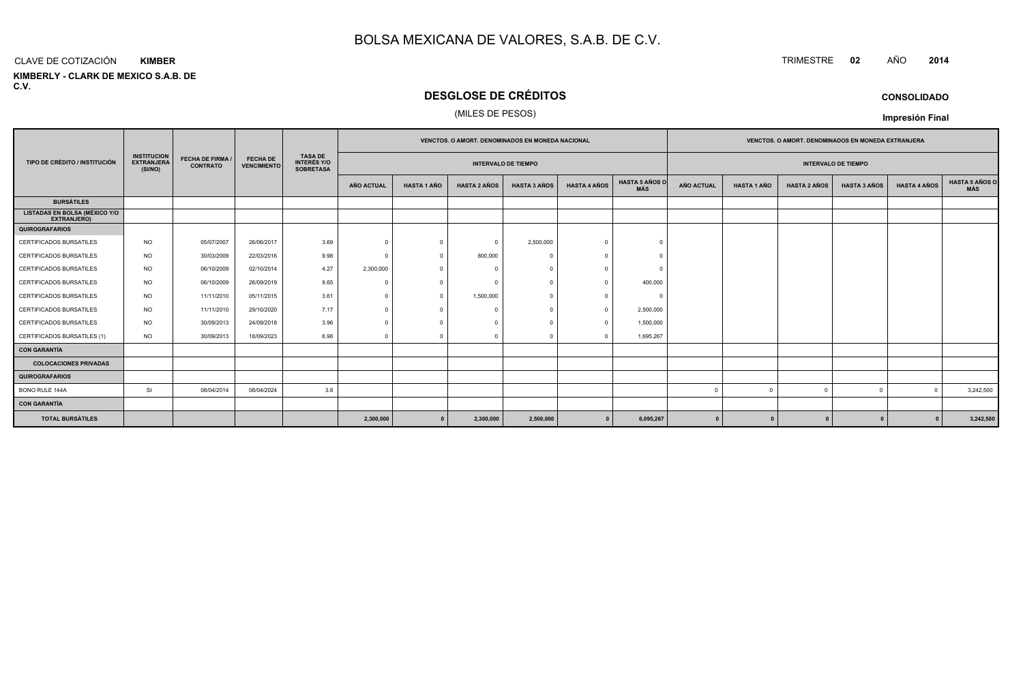#### CLAVE DE COTIZACIÓN**KIMBER**

**KIMBERLY - CLARK DE MEXICO S.A.B. DE C.V.**

# **DESGLOSE DE CRÉDITOS**

#### (MILES DE PESOS)

|                                                            |                                                    |                                            |                                       |                                                          | <b>VENCTOS, O AMORT, DENOMINADOS EN MONEDA NACIONAL</b> |                    |                     |                     |                     |                              | <b>VENCTOS, O AMORT, DENOMINADOS EN MONEDA EXTRANJERA</b> |                    |                     |                     |                     |                              |
|------------------------------------------------------------|----------------------------------------------------|--------------------------------------------|---------------------------------------|----------------------------------------------------------|---------------------------------------------------------|--------------------|---------------------|---------------------|---------------------|------------------------------|-----------------------------------------------------------|--------------------|---------------------|---------------------|---------------------|------------------------------|
| TIPO DE CRÉDITO / INSTITUCIÓN                              | <b>INSTITUCION</b><br><b>EXTRANJERA</b><br>(SI/NO) | <b>FECHA DE FIRMA /</b><br><b>CONTRATO</b> | <b>FECHA DE</b><br><b>VENCIMIENTO</b> | <b>TASA DE</b><br><b>INTERÉS Y/O</b><br><b>SOBRETASA</b> | <b>INTERVALO DE TIEMPO</b>                              |                    |                     |                     |                     |                              | <b>INTERVALO DE TIEMPO</b>                                |                    |                     |                     |                     |                              |
|                                                            |                                                    |                                            |                                       |                                                          | AÑO ACTUAL                                              | <b>HASTA 1 AÑO</b> | <b>HASTA 2 AÑOS</b> | <b>HASTA 3 AÑOS</b> | <b>HASTA 4 AÑOS</b> | <b>HASTA 5 AÑOS O</b><br>MÁS | <b>AÑO ACTUAL</b>                                         | <b>HASTA 1 AÑO</b> | <b>HASTA 2 AÑOS</b> | <b>HASTA 3 AÑOS</b> | <b>HASTA 4 AÑOS</b> | <b>HASTA 5 AÑOS C</b><br>MÁS |
| <b>BURSÁTILES</b>                                          |                                                    |                                            |                                       |                                                          |                                                         |                    |                     |                     |                     |                              |                                                           |                    |                     |                     |                     |                              |
| <b>LISTADAS EN BOLSA (MÉXICO Y/O</b><br><b>EXTRANJERO)</b> |                                                    |                                            |                                       |                                                          |                                                         |                    |                     |                     |                     |                              |                                                           |                    |                     |                     |                     |                              |
| <b>QUIROGRAFARIOS</b>                                      |                                                    |                                            |                                       |                                                          |                                                         |                    |                     |                     |                     |                              |                                                           |                    |                     |                     |                     |                              |
| CERTIFICADOS BURSATILES                                    | <b>NO</b>                                          | 05/07/2007                                 | 26/06/2017                            | 3.69                                                     | $\Omega$                                                | $\Omega$           | $\Omega$            | 2,500,000           | $\Omega$            | $\Omega$                     |                                                           |                    |                     |                     |                     |                              |
| <b>CERTIFICADOS BURSATILES</b>                             | <b>NO</b>                                          | 30/03/2009                                 | 22/03/2016                            | 9.98                                                     | $\Omega$                                                |                    | 800,000             |                     |                     |                              |                                                           |                    |                     |                     |                     |                              |
| <b>CERTIFICADOS BURSATILES</b>                             | NO.                                                | 06/10/2009                                 | 02/10/2014                            | 4.27                                                     | 2,300,000                                               |                    | $\sqrt{ }$          |                     | $\Omega$            |                              |                                                           |                    |                     |                     |                     |                              |
| <b>CERTIFICADOS BURSATILES</b>                             | <b>NO</b>                                          | 06/10/2009                                 | 26/09/2019                            | 9.65                                                     | $\Omega$                                                |                    | $\Omega$            |                     | $\Omega$            | 400,000                      |                                                           |                    |                     |                     |                     |                              |
| CERTIFICADOS BURSATILES                                    | <b>NO</b>                                          | 11/11/2010                                 | 05/11/2015                            | 3.61                                                     | $\Omega$                                                | $\Omega$           | 1,500,000           |                     | $\Omega$            | $\Omega$                     |                                                           |                    |                     |                     |                     |                              |
| CERTIFICADOS BURSATILES                                    | <b>NO</b>                                          | 11/11/2010                                 | 29/10/2020                            | 7.17                                                     |                                                         |                    |                     |                     | $\Omega$            | 2,500,000                    |                                                           |                    |                     |                     |                     |                              |
| <b>CERTIFICADOS BURSATILES</b>                             | NO.                                                | 30/09/2013                                 | 24/09/2018                            | 3.96                                                     | $\Omega$                                                |                    | $\cap$              |                     | $\Omega$            | 1,500,000                    |                                                           |                    |                     |                     |                     |                              |
| CERTIFICADOS BURSATILES (1)                                | <b>NO</b>                                          | 30/09/2013                                 | 18/09/2023                            | 6.98                                                     | $\Omega$                                                |                    |                     |                     |                     | 1,695,267                    |                                                           |                    |                     |                     |                     |                              |
| <b>CON GARANTÍA</b>                                        |                                                    |                                            |                                       |                                                          |                                                         |                    |                     |                     |                     |                              |                                                           |                    |                     |                     |                     |                              |
| <b>COLOCACIONES PRIVADAS</b>                               |                                                    |                                            |                                       |                                                          |                                                         |                    |                     |                     |                     |                              |                                                           |                    |                     |                     |                     |                              |
| <b>QUIROGRAFARIOS</b>                                      |                                                    |                                            |                                       |                                                          |                                                         |                    |                     |                     |                     |                              |                                                           |                    |                     |                     |                     |                              |
| BONO RULE 144A                                             | SI                                                 | 08/04/2014                                 | 08/04/2024                            | 3.8                                                      |                                                         |                    |                     |                     |                     |                              |                                                           |                    |                     | $\Omega$            | $\Omega$            | 3,242,500                    |
| <b>CON GARANTÍA</b>                                        |                                                    |                                            |                                       |                                                          |                                                         |                    |                     |                     |                     |                              |                                                           |                    |                     |                     |                     |                              |
| <b>TOTAL BURSÁTILES</b>                                    |                                                    |                                            |                                       |                                                          | 2,300,000                                               | $\mathbf{0}$       | 2,300,000           | 2,500,000           |                     | 6,095,267                    | $\mathbf{0}$                                              |                    |                     |                     |                     | 3,242,500                    |

### **CONSOLIDADO**

**Impresión Final**

TRIMESTRE **<sup>02</sup>** AÑO **<sup>2014</sup>**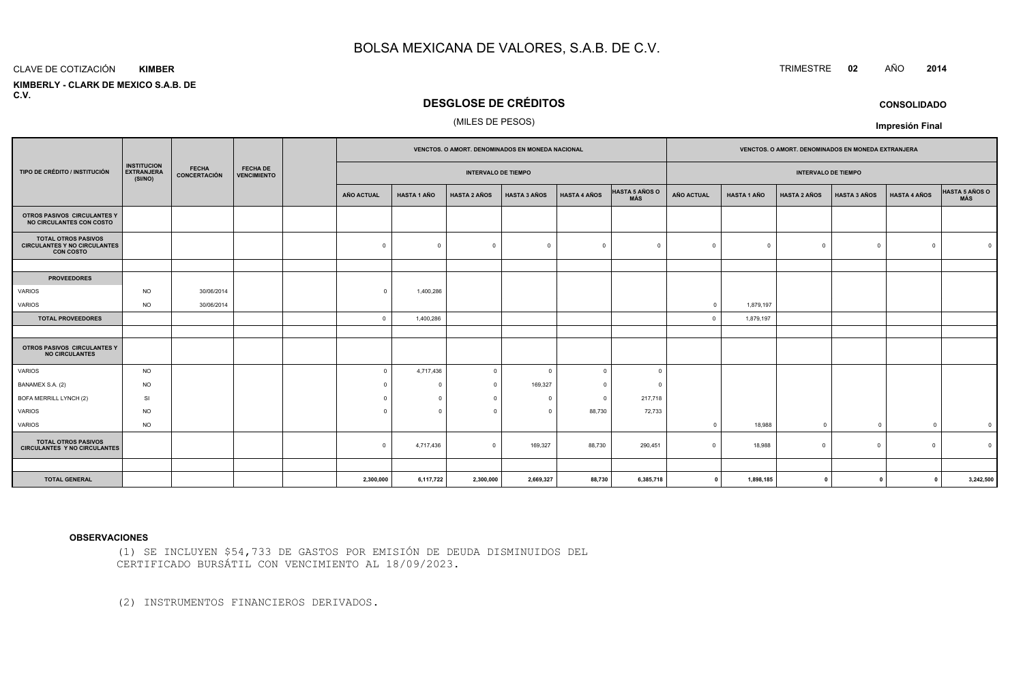#### CLAVE DE COTIZACIÓN**KIMBER**

 **KIMBERLY - CLARK DE MEXICO S.A.B. DEC.V.**

# **DESGLOSE DE CRÉDITOS**

#### (MILES DE PESOS)

|                                                                                       |                                                    |                                     |                                       | VENCTOS. O AMORT. DENOMINADOS EN MONEDA NACIONAL |                    |                            |                     |                     | VENCTOS. O AMORT. DENOMINADOS EN MONEDA EXTRANJERA |                   |                    |                            |                     |                     |                         |
|---------------------------------------------------------------------------------------|----------------------------------------------------|-------------------------------------|---------------------------------------|--------------------------------------------------|--------------------|----------------------------|---------------------|---------------------|----------------------------------------------------|-------------------|--------------------|----------------------------|---------------------|---------------------|-------------------------|
| TIPO DE CRÉDITO / INSTITUCIÓN                                                         | <b>INSTITUCION</b><br><b>EXTRANJERA</b><br>(SI/NO) | <b>FECHA</b><br><b>CONCERTACIÓN</b> | <b>FECHA DE</b><br><b>VENCIMIENTO</b> |                                                  |                    | <b>INTERVALO DE TIEMPO</b> |                     |                     |                                                    |                   |                    | <b>INTERVALO DE TIEMPO</b> |                     |                     |                         |
|                                                                                       |                                                    |                                     |                                       | <b>AÑO ACTUAL</b>                                | <b>HASTA 1 AÑO</b> | <b>HASTA 2 AÑOS</b>        | <b>HASTA 3 AÑOS</b> | <b>HASTA 4 AÑOS</b> | <b>HASTA 5 AÑOS O</b><br><b>MÁS</b>                | <b>AÑO ACTUAL</b> | <b>HASTA 1 AÑO</b> | <b>HASTA 2 AÑOS</b>        | <b>HASTA 3 AÑOS</b> | <b>HASTA 4 AÑOS</b> | HASTA 5 AÑOS O          |
| OTROS PASIVOS CIRCULANTES Y<br>NO CIRCULANTES CON COSTO                               |                                                    |                                     |                                       |                                                  |                    |                            |                     |                     |                                                    |                   |                    |                            |                     |                     |                         |
| <b>TOTAL OTROS PASIVOS</b><br><b>CIRCULANTES Y NO CIRCULANTES</b><br><b>CON COSTO</b> |                                                    |                                     |                                       | $\Omega$                                         | $\Omega$           | $\Omega$                   | $\Omega$            | $\Omega$            | $\sqrt{ }$                                         |                   | $\Omega$           |                            | $\overline{0}$      | $\Omega$            |                         |
|                                                                                       |                                                    |                                     |                                       |                                                  |                    |                            |                     |                     |                                                    |                   |                    |                            |                     |                     |                         |
| <b>PROVEEDORES</b>                                                                    |                                                    |                                     |                                       |                                                  |                    |                            |                     |                     |                                                    |                   |                    |                            |                     |                     |                         |
| <b>VARIOS</b>                                                                         | <b>NO</b>                                          | 30/06/2014                          |                                       | $\Omega$                                         | 1,400,286          |                            |                     |                     |                                                    |                   |                    |                            |                     |                     |                         |
| <b>VARIOS</b>                                                                         | <b>NO</b>                                          | 30/06/2014                          |                                       |                                                  |                    |                            |                     |                     |                                                    | 0                 | 1,879,197          |                            |                     |                     |                         |
| <b>TOTAL PROVEEDORES</b>                                                              |                                                    |                                     |                                       | $\circ$                                          | 1,400,286          |                            |                     |                     |                                                    | $\Omega$          | 1,879,197          |                            |                     |                     |                         |
|                                                                                       |                                                    |                                     |                                       |                                                  |                    |                            |                     |                     |                                                    |                   |                    |                            |                     |                     |                         |
| OTROS PASIVOS CIRCULANTES Y<br><b>NO CIRCULANTES</b>                                  |                                                    |                                     |                                       |                                                  |                    |                            |                     |                     |                                                    |                   |                    |                            |                     |                     |                         |
| VARIOS                                                                                | <b>NO</b>                                          |                                     |                                       | $\Omega$                                         | 4,717,436          | $\mathbf 0$                | - 0                 | $\Omega$            | $\Omega$                                           |                   |                    |                            |                     |                     |                         |
| BANAMEX S.A. (2)                                                                      | <b>NO</b>                                          |                                     |                                       | $\Omega$                                         |                    | $\mathbf 0$                | 169,327             | $\Omega$            | $\Omega$                                           |                   |                    |                            |                     |                     |                         |
| BOFA MERRILL LYNCH (2)                                                                | SI                                                 |                                     |                                       | $\Omega$                                         |                    | $\mathbf 0$                | $\Omega$            | $\Omega$            | 217,718                                            |                   |                    |                            |                     |                     |                         |
| <b>VARIOS</b>                                                                         | <b>NO</b>                                          |                                     |                                       | $\Omega$                                         |                    | $\mathbf 0$                | $\Omega$            | 88,730              | 72,733                                             |                   |                    |                            |                     |                     |                         |
| VARIOS                                                                                | <b>NO</b>                                          |                                     |                                       |                                                  |                    |                            |                     |                     |                                                    |                   | 18,988             | $\Omega$                   | $\Omega$            | $\Omega$            | $\overline{\mathbf{0}}$ |
| <b>TOTAL OTROS PASIVOS</b><br><b>CIRCULANTES Y NO CIRCULANTES</b>                     |                                                    |                                     |                                       | $\mathbf{0}$                                     | 4,717,436          | $\mathbf 0$                | 169,327             | 88,730              | 290,451                                            |                   | 18,988             | $\Omega$                   | $\overline{0}$      | $\Omega$            |                         |
|                                                                                       |                                                    |                                     |                                       |                                                  |                    |                            |                     |                     |                                                    |                   |                    |                            |                     |                     |                         |
| <b>TOTAL GENERAL</b>                                                                  |                                                    |                                     |                                       | 2,300,000                                        | 6,117,722          | 2,300,000                  | 2,669,327           | 88,730              | 6,385,718                                          | $\mathbf 0$       | 1,898,185          | 0                          | $\mathbf{0}$        | $\mathbf{0}$        | 3,242,500               |

#### **OBSERVACIONES**

(1) SE INCLUYEN \$54,733 DE GASTOS POR EMISIÓN DE DEUDA DISMINUIDOS DELCERTIFICADO BURSÁTIL CON VENCIMIENTO AL 18/09/2023.

(2) INSTRUMENTOS FINANCIEROS DERIVADOS.

**CONSOLIDADO**

**Impresión Final**

TRIMESTRE **<sup>02</sup>** AÑO **<sup>2014</sup>**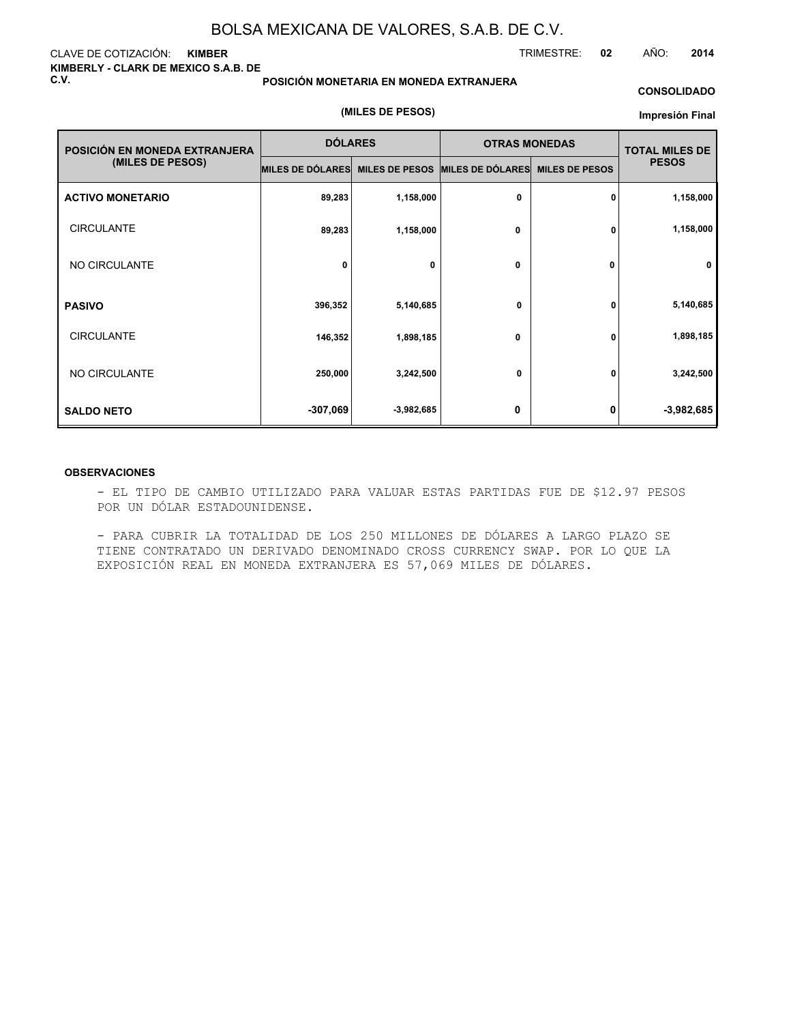#### CLAVE DE COTIZACIÓN: **KIMBER KIMBERLY - CLARK DE MEXICO S.A.B. DE C.V.**

#### **POSICIÓN MONETARIA EN MONEDA EXTRANJERA**

#### **CONSOLIDADO**

#### **(MILES DE PESOS)**

#### **Impresión Final**

| POSICIÓN EN MONEDA EXTRANJERA | <b>DÓLARES</b>   |                       | <b>OTRAS MONEDAS</b> |                       | <b>TOTAL MILES DE</b> |  |
|-------------------------------|------------------|-----------------------|----------------------|-----------------------|-----------------------|--|
| (MILES DE PESOS)              | MILES DE DÓLARES | <b>MILES DE PESOS</b> | MILES DE DÓLARES     | <b>MILES DE PESOS</b> | <b>PESOS</b>          |  |
| <b>ACTIVO MONETARIO</b>       | 89,283           | 1,158,000             | 0                    | 0                     | 1,158,000             |  |
| <b>CIRCULANTE</b>             | 89,283           | 1,158,000             | 0                    | 0                     | 1,158,000             |  |
| NO CIRCULANTE                 | 0                | 0                     | 0                    | 0                     | $\mathbf 0$           |  |
| <b>PASIVO</b>                 | 396,352          | 5,140,685             | 0                    | 0                     | 5,140,685             |  |
| <b>CIRCULANTE</b>             | 146,352          | 1,898,185             | 0                    | 0                     | 1,898,185             |  |
| NO CIRCULANTE                 | 250,000          | 3,242,500             | 0                    | 0                     | 3,242,500             |  |
| <b>SALDO NETO</b>             | $-307,069$       | $-3,982,685$          | 0                    | 0                     | $-3,982,685$          |  |

#### **OBSERVACIONES**

- EL TIPO DE CAMBIO UTILIZADO PARA VALUAR ESTAS PARTIDAS FUE DE \$12.97 PESOS POR UN DÓLAR ESTADOUNIDENSE.

- PARA CUBRIR LA TOTALIDAD DE LOS 250 MILLONES DE DÓLARES A LARGO PLAZO SE TIENE CONTRATADO UN DERIVADO DENOMINADO CROSS CURRENCY SWAP. POR LO QUE LA EXPOSICIÓN REAL EN MONEDA EXTRANJERA ES 57,069 MILES DE DÓLARES.

TRIMESTRE: **02** AÑO: **2014**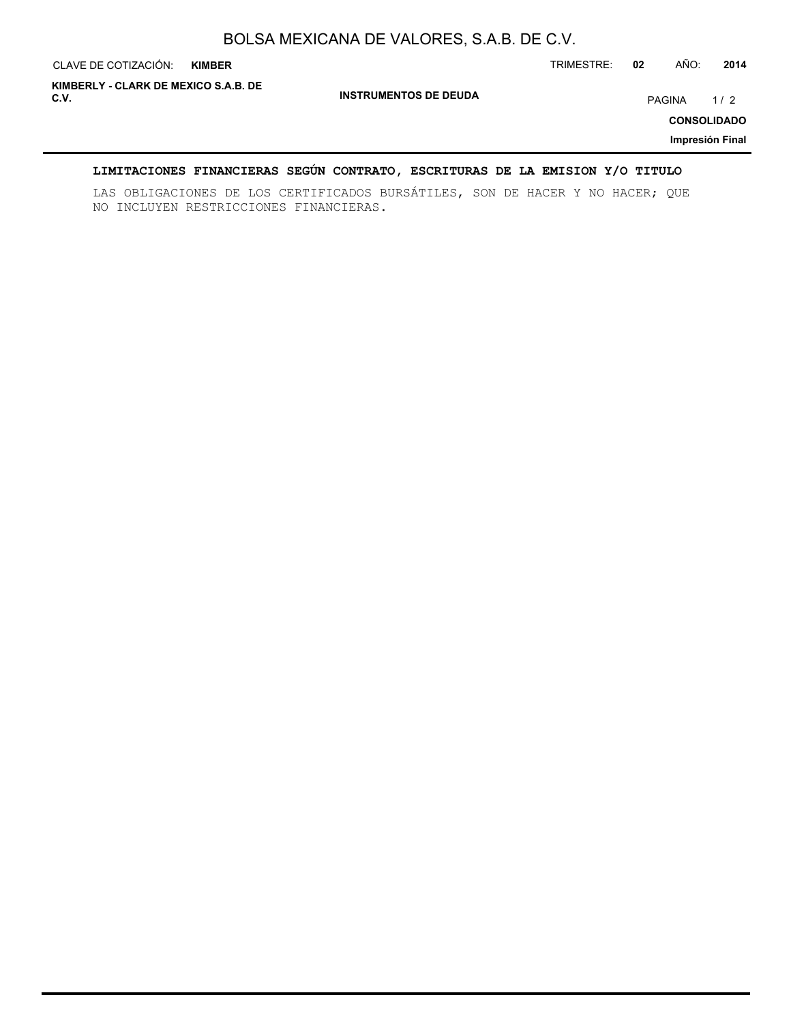| CLAVE DE COTIZACIÓN:                         | <b>KIMBER</b> |                              | TRIMESTRE: | 02 | AÑO:   | 2014                                         |
|----------------------------------------------|---------------|------------------------------|------------|----|--------|----------------------------------------------|
| KIMBERLY - CLARK DE MEXICO S.A.B. DE<br>C.V. |               | <b>INSTRUMENTOS DE DEUDA</b> |            |    | PAGINA | 1/2<br><b>CONSOLIDADO</b><br>Impresión Final |

## **LIMITACIONES FINANCIERAS SEGÚN CONTRATO, ESCRITURAS DE LA EMISION Y/O TITULO**

LAS OBLIGACIONES DE LOS CERTIFICADOS BURSÁTILES, SON DE HACER Y NO HACER; QUE NO INCLUYEN RESTRICCIONES FINANCIERAS.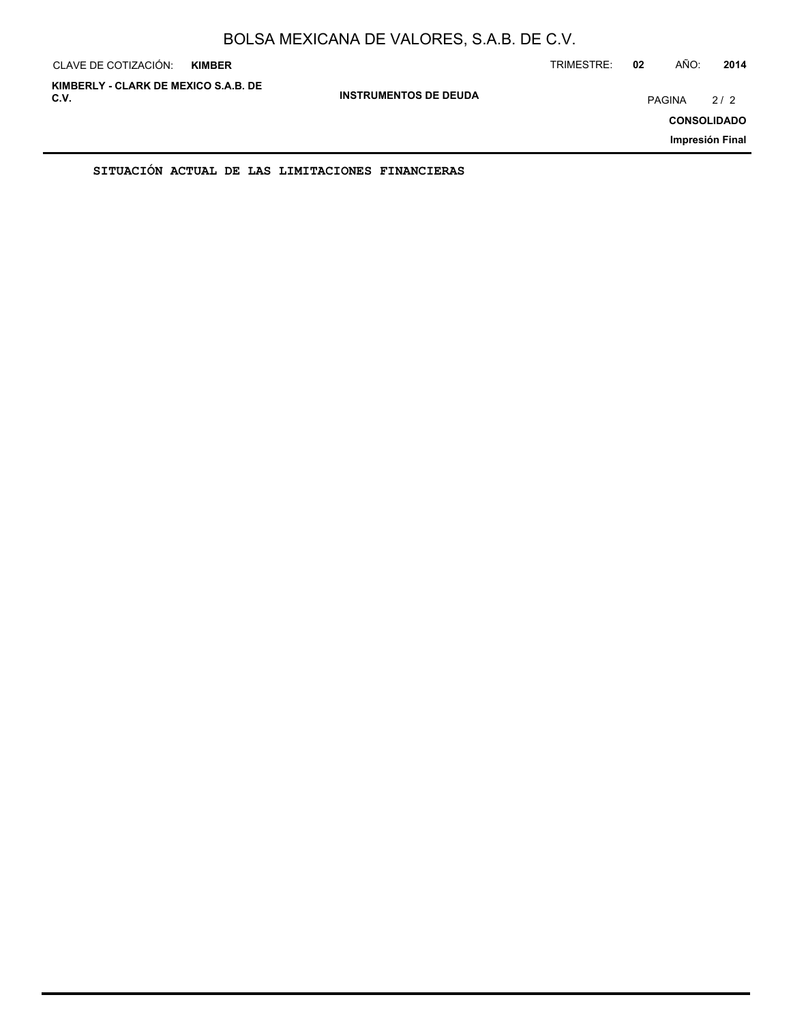| CLAVE DE COTIZACIÓN:                         | <b>KIMBER</b> |                              | TRIMESTRE: | 02     | AÑO: | 2014                                         |
|----------------------------------------------|---------------|------------------------------|------------|--------|------|----------------------------------------------|
| KIMBERLY - CLARK DE MEXICO S.A.B. DE<br>C.V. |               | <b>INSTRUMENTOS DE DEUDA</b> |            | PAGINA |      | 2/2<br><b>CONSOLIDADO</b><br>Impresión Final |
|                                              |               |                              |            |        |      |                                              |

**SITUACIÓN ACTUAL DE LAS LIMITACIONES FINANCIERAS**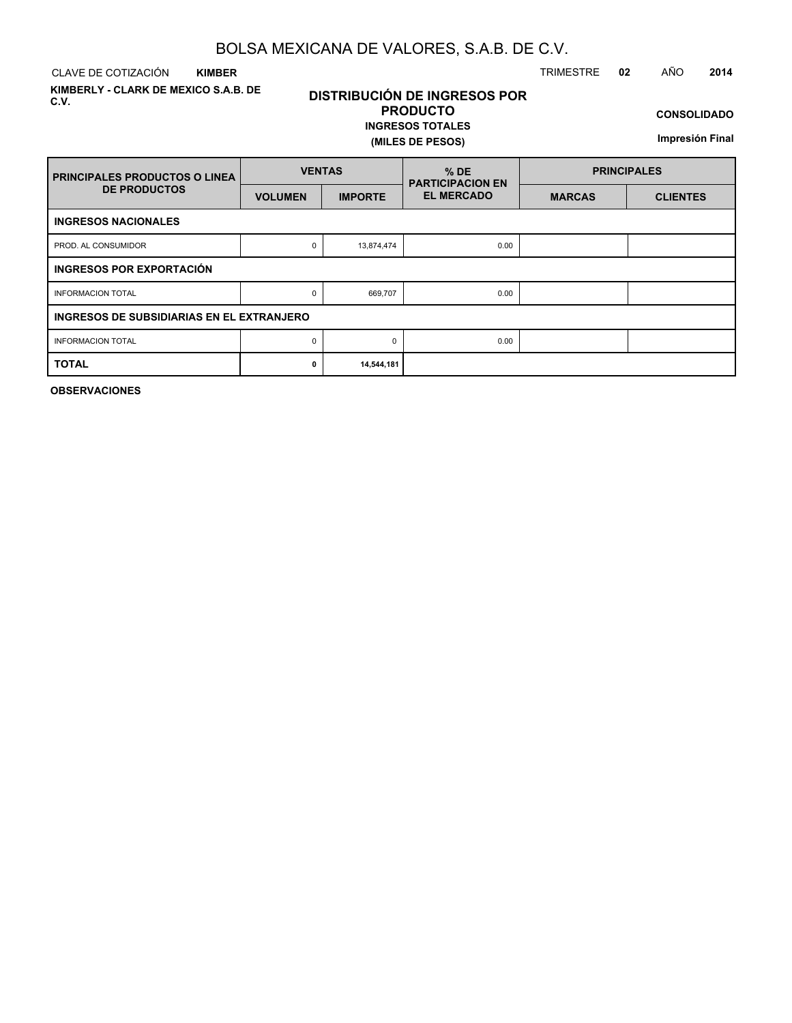CLAVE DE COTIZACIÓN TRIMESTRE **02** AÑO **2014 KIMBER**

**KIMBERLY - CLARK DE MEXICO S.A.B. DE C.V.**

# **DISTRIBUCIÓN DE INGRESOS POR PRODUCTO**

#### **INGRESOS TOTALES (MILES DE PESOS)**

**CONSOLIDADO**

**Impresión Final**

| <b>PRINCIPALES PRODUCTOS O LINEA</b>      | <b>VENTAS</b>  |                | $%$ DE<br><b>PARTICIPACION EN</b> | <b>PRINCIPALES</b> |                 |  |  |  |  |  |  |
|-------------------------------------------|----------------|----------------|-----------------------------------|--------------------|-----------------|--|--|--|--|--|--|
| <b>DE PRODUCTOS</b>                       | <b>VOLUMEN</b> | <b>IMPORTE</b> | <b>EL MERCADO</b>                 | <b>MARCAS</b>      | <b>CLIENTES</b> |  |  |  |  |  |  |
| <b>INGRESOS NACIONALES</b>                |                |                |                                   |                    |                 |  |  |  |  |  |  |
| PROD. AL CONSUMIDOR                       | 0              | 13,874,474     | 0.00                              |                    |                 |  |  |  |  |  |  |
| INGRESOS POR EXPORTACIÓN                  |                |                |                                   |                    |                 |  |  |  |  |  |  |
| <b>INFORMACION TOTAL</b>                  | 0              | 669,707        | 0.00                              |                    |                 |  |  |  |  |  |  |
| INGRESOS DE SUBSIDIARIAS EN EL EXTRANJERO |                |                |                                   |                    |                 |  |  |  |  |  |  |
| <b>INFORMACION TOTAL</b>                  | 0              | $\Omega$       | 0.00                              |                    |                 |  |  |  |  |  |  |
| <b>TOTAL</b>                              | 0              | 14,544,181     |                                   |                    |                 |  |  |  |  |  |  |

**OBSERVACIONES**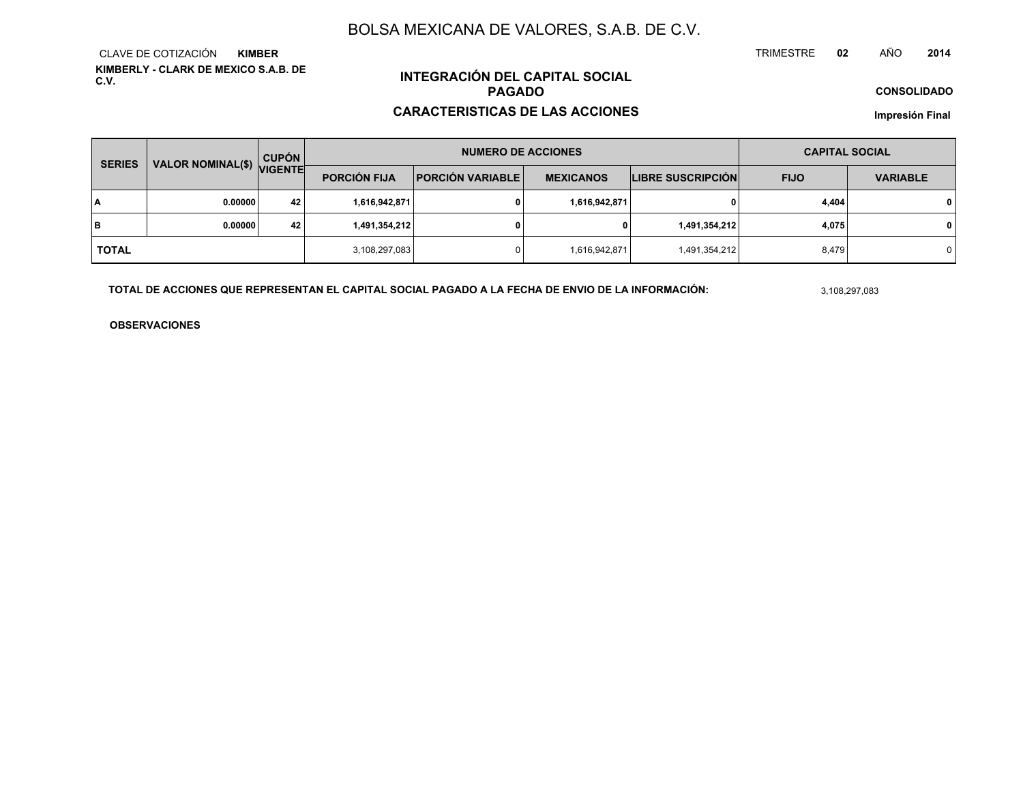**KIMBERLY - CLARK DE MEXICO S.A.B. DE C.V.**CLAVE DE COTIZACIÓN**KIMBER**

# **INTEGRACIÓN DEL CAPITAL SOCIALPAGADO**

#### **CARACTERISTICAS DE LAS ACCIONES**

**CONSOLIDADO**

**Impresión Final**

| <b>SERIES</b> |                           | <b>CUPÓN</b> |                                                                    | <b>NUMERO DE ACCIONES</b> |                          | <b>CAPITAL SOCIAL</b> |                 |              |  |
|---------------|---------------------------|--------------|--------------------------------------------------------------------|---------------------------|--------------------------|-----------------------|-----------------|--------------|--|
|               | VALOR NOMINAL(\$) VIGENTE |              | <b>PORCIÓN FIJA</b><br><b>PORCIÓN VARIABLE</b><br><b>MEXICANOS</b> |                           | <b>LIBRE SUSCRIPCIÓN</b> | <b>FIJO</b>           | <b>VARIABLE</b> |              |  |
| ١A            | 0.00000                   | 42           | 1,616,942,871                                                      |                           | 1,616,942,871            | 0                     | 4,404           | $\mathbf{0}$ |  |
| lв            | 0.00000                   | 42           | 1,491,354,212                                                      |                           | 0                        | 1,491,354,212         | 4,075           | $\mathbf{0}$ |  |
| <b>TOTAL</b>  |                           |              | 3,108,297,083                                                      |                           | 1,616,942,871            | 1,491,354,212         | 8,479           | 0            |  |

**TOTAL DE ACCIONES QUE REPRESENTAN EL CAPITAL SOCIAL PAGADO A LA FECHA DE ENVIO DE LA INFORMACIÓN:**

3,108,297,083

TRIMESTRE

**OBSERVACIONES**

 **<sup>02</sup>** AÑO**<sup>2014</sup>**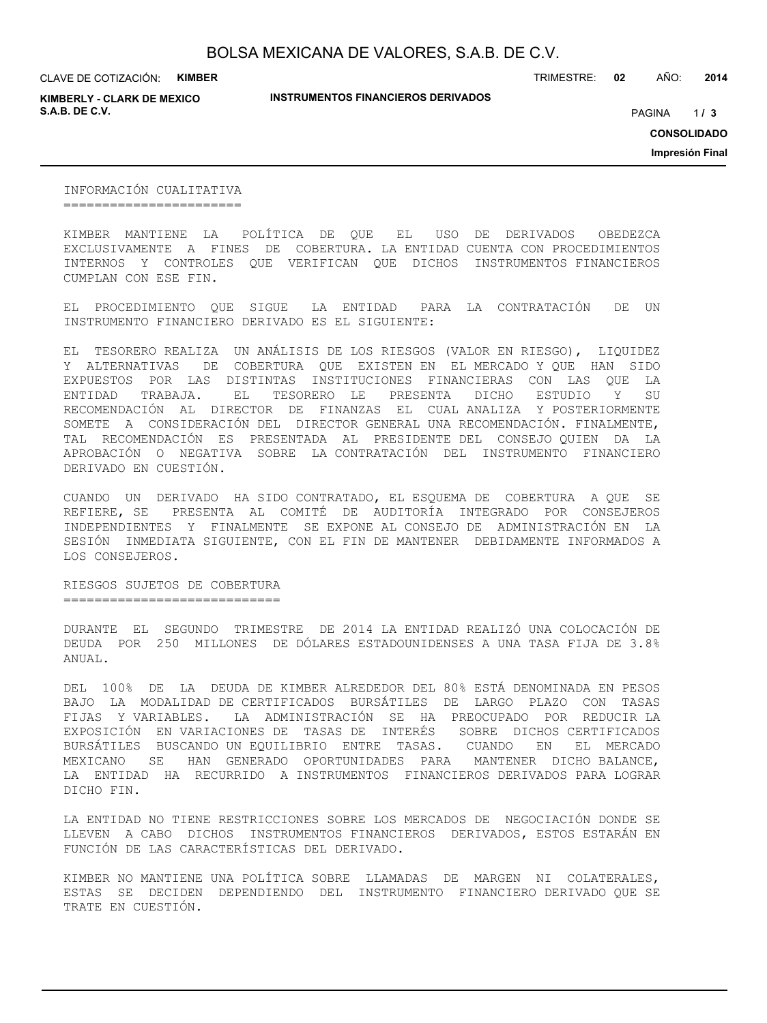**KIMBERLY - CLARK DE MEXICO S.A.B. DE C.V.** PAGINA **/ 3**

**INSTRUMENTOS FINANCIEROS DERIVADOS**

TRIMESTRE: **02** AÑO: **2014**

 $1/3$ 

**CONSOLIDADO**

**Impresión Final**

INFORMACIÓN CUALITATIVA =======================

KIMBER MANTIENE LA POLÍTICA DE QUE EL USO DE DERIVADOS OBEDEZCA EXCLUSIVAMENTE A FINES DE COBERTURA. LA ENTIDAD CUENTA CON PROCEDIMIENTOS INTERNOS Y CONTROLES QUE VERIFICAN QUE DICHOS INSTRUMENTOS FINANCIEROS CUMPLAN CON ESE FIN.

EL PROCEDIMIENTO QUE SIGUE LA ENTIDAD PARA LA CONTRATACIÓN DE UN INSTRUMENTO FINANCIERO DERIVADO ES EL SIGUIENTE:

EL TESORERO REALIZA UN ANÁLISIS DE LOS RIESGOS (VALOR EN RIESGO), LIQUIDEZ Y ALTERNATIVAS DE COBERTURA QUE EXISTEN EN EL MERCADO Y QUE HAN SIDO EXPUESTOS POR LAS DISTINTAS INSTITUCIONES FINANCIERAS CON LAS QUE LA ENTIDAD TRABAJA. EL TESORERO LE PRESENTA DICHO ESTUDIO Y SU RECOMENDACIÓN AL DIRECTOR DE FINANZAS EL CUAL ANALIZA Y POSTERIORMENTE SOMETE A CONSIDERACIÓN DEL DIRECTOR GENERAL UNA RECOMENDACIÓN. FINALMENTE, TAL RECOMENDACIÓN ES PRESENTADA AL PRESIDENTE DEL CONSEJO QUIEN DA LA APROBACIÓN O NEGATIVA SOBRE LA CONTRATACIÓN DEL INSTRUMENTO FINANCIERO DERIVADO EN CUESTIÓN.

CUANDO UN DERIVADO HA SIDO CONTRATADO, EL ESQUEMA DE COBERTURA A QUE SE REFIERE, SE PRESENTA AL COMITÉ DE AUDITORÍA INTEGRADO POR CONSEJEROS INDEPENDIENTES Y FINALMENTE SE EXPONE AL CONSEJO DE ADMINISTRACIÓN EN LA SESIÓN INMEDIATA SIGUIENTE, CON EL FIN DE MANTENER DEBIDAMENTE INFORMADOS A LOS CONSEJEROS.

RIESGOS SUJETOS DE COBERTURA ============================

DURANTE EL SEGUNDO TRIMESTRE DE 2014 LA ENTIDAD REALIZÓ UNA COLOCACIÓN DE DEUDA POR 250 MILLONES DE DÓLARES ESTADOUNIDENSES A UNA TASA FIJA DE 3.8% ANUAL.

DEL 100% DE LA DEUDA DE KIMBER ALREDEDOR DEL 80% ESTÁ DENOMINADA EN PESOS BAJO LA MODALIDAD DE CERTIFICADOS BURSÁTILES DE LARGO PLAZO CON TASAS FIJAS Y VARIABLES. LA ADMINISTRACIÓN SE HA PREOCUPADO POR REDUCIR LA EXPOSICIÓN EN VARIACIONES DE TASAS DE INTERÉS SOBRE DICHOS CERTIFICADOS BURSÁTILES BUSCANDO UN EQUILIBRIO ENTRE TASAS. CUANDO EN EL MERCADO MEXICANO SE HAN GENERADO OPORTUNIDADES PARA MANTENER DICHO BALANCE, LA ENTIDAD HA RECURRIDO A INSTRUMENTOS FINANCIEROS DERIVADOS PARA LOGRAR DICHO FIN.

LA ENTIDAD NO TIENE RESTRICCIONES SOBRE LOS MERCADOS DE NEGOCIACIÓN DONDE SE LLEVEN A CABO DICHOS INSTRUMENTOS FINANCIEROS DERIVADOS, ESTOS ESTARÁN EN FUNCIÓN DE LAS CARACTERÍSTICAS DEL DERIVADO.

KIMBER NO MANTIENE UNA POLÍTICA SOBRE LLAMADAS DE MARGEN NI COLATERALES, ESTAS SE DECIDEN DEPENDIENDO DEL INSTRUMENTO FINANCIERO DERIVADO QUE SE TRATE EN CUESTIÓN.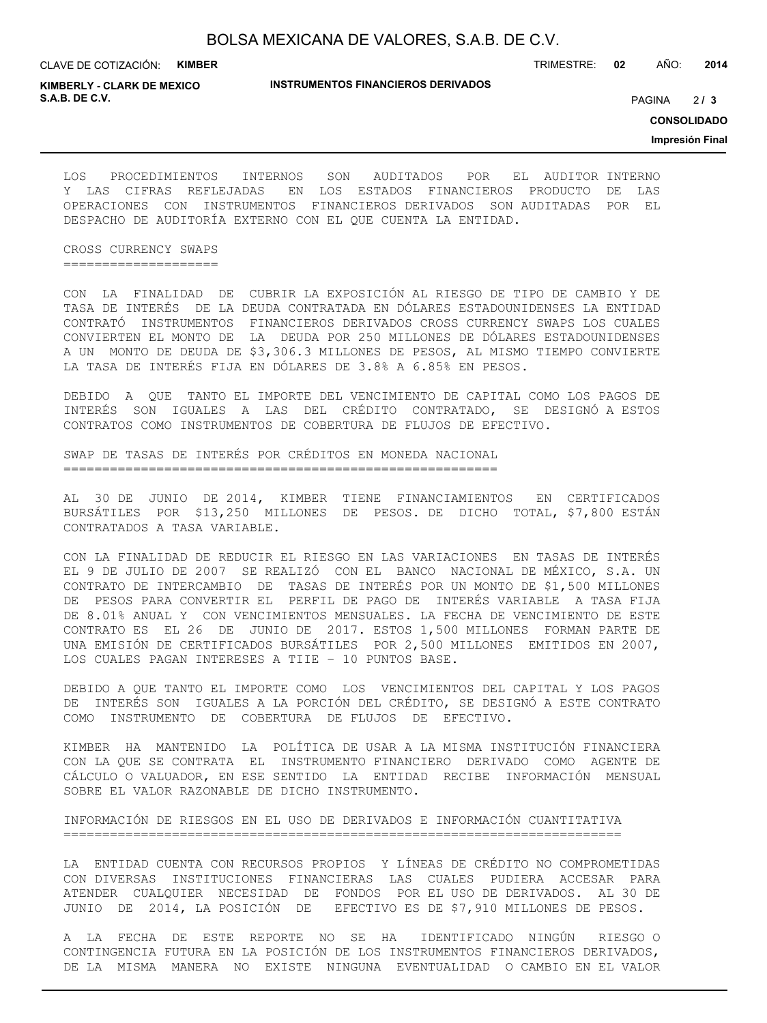TRIMESTRE: **02** AÑO: **2014**

**KIMBERLY - CLARK DE MEXICO S.A.B. DE C.V.** PAGINA **/ 3**

**INSTRUMENTOS FINANCIEROS DERIVADOS**

 $213$ 

**CONSOLIDADO**

**Impresión Final**

LOS PROCEDIMIENTOS INTERNOS SON AUDITADOS POR EL AUDITOR INTERNO Y LAS CIFRAS REFLEJADAS EN LOS ESTADOS FINANCIEROS PRODUCTO DE LAS OPERACIONES CON INSTRUMENTOS FINANCIEROS DERIVADOS SON AUDITADAS POR EL DESPACHO DE AUDITORÍA EXTERNO CON EL QUE CUENTA LA ENTIDAD.

CROSS CURRENCY SWAPS ====================

CON LA FINALIDAD DE CUBRIR LA EXPOSICIÓN AL RIESGO DE TIPO DE CAMBIO Y DE TASA DE INTERÉS DE LA DEUDA CONTRATADA EN DÓLARES ESTADOUNIDENSES LA ENTIDAD CONTRATÓ INSTRUMENTOS FINANCIEROS DERIVADOS CROSS CURRENCY SWAPS LOS CUALES CONVIERTEN EL MONTO DE LA DEUDA POR 250 MILLONES DE DÓLARES ESTADOUNIDENSES A UN MONTO DE DEUDA DE \$3,306.3 MILLONES DE PESOS, AL MISMO TIEMPO CONVIERTE LA TASA DE INTERÉS FIJA EN DÓLARES DE 3.8% A 6.85% EN PESOS.

DEBIDO A QUE TANTO EL IMPORTE DEL VENCIMIENTO DE CAPITAL COMO LOS PAGOS DE INTERÉS SON IGUALES A LAS DEL CRÉDITO CONTRATADO, SE DESIGNÓ A ESTOS CONTRATOS COMO INSTRUMENTOS DE COBERTURA DE FLUJOS DE EFECTIVO.

SWAP DE TASAS DE INTERÉS POR CRÉDITOS EN MONEDA NACIONAL ========================================================

AL 30 DE JUNIO DE 2014, KIMBER TIENE FINANCIAMIENTOS EN CERTIFICADOS BURSÁTILES POR \$13,250 MILLONES DE PESOS. DE DICHO TOTAL, \$7,800 ESTÁN CONTRATADOS A TASA VARIABLE.

CON LA FINALIDAD DE REDUCIR EL RIESGO EN LAS VARIACIONES EN TASAS DE INTERÉS EL 9 DE JULIO DE 2007 SE REALIZÓ CON EL BANCO NACIONAL DE MÉXICO, S.A. UN CONTRATO DE INTERCAMBIO DE TASAS DE INTERÉS POR UN MONTO DE \$1,500 MILLONES DE PESOS PARA CONVERTIR EL PERFIL DE PAGO DE INTERÉS VARIABLE A TASA FIJA DE 8.01% ANUAL Y CON VENCIMIENTOS MENSUALES. LA FECHA DE VENCIMIENTO DE ESTE CONTRATO ES EL 26 DE JUNIO DE 2017. ESTOS 1,500 MILLONES FORMAN PARTE DE UNA EMISIÓN DE CERTIFICADOS BURSÁTILES POR 2,500 MILLONES EMITIDOS EN 2007, LOS CUALES PAGAN INTERESES A TIIE – 10 PUNTOS BASE.

DEBIDO A QUE TANTO EL IMPORTE COMO LOS VENCIMIENTOS DEL CAPITAL Y LOS PAGOS DE INTERÉS SON IGUALES A LA PORCIÓN DEL CRÉDITO, SE DESIGNÓ A ESTE CONTRATO COMO INSTRUMENTO DE COBERTURA DE FLUJOS DE EFECTIVO.

KIMBER HA MANTENIDO LA POLÍTICA DE USAR A LA MISMA INSTITUCIÓN FINANCIERA CON LA QUE SE CONTRATA EL INSTRUMENTO FINANCIERO DERIVADO COMO AGENTE DE CÁLCULO O VALUADOR, EN ESE SENTIDO LA ENTIDAD RECIBE INFORMACIÓN MENSUAL SOBRE EL VALOR RAZONABLE DE DICHO INSTRUMENTO.

INFORMACIÓN DE RIESGOS EN EL USO DE DERIVADOS E INFORMACIÓN CUANTITATIVA ========================================================================

LA ENTIDAD CUENTA CON RECURSOS PROPIOS Y LÍNEAS DE CRÉDITO NO COMPROMETIDAS CON DIVERSAS INSTITUCIONES FINANCIERAS LAS CUALES PUDIERA ACCESAR PARA ATENDER CUALQUIER NECESIDAD DE FONDOS POR EL USO DE DERIVADOS. AL 30 DE JUNIO DE 2014, LA POSICIÓN DE EFECTIVO ES DE \$7,910 MILLONES DE PESOS.

A LA FECHA DE ESTE REPORTE NO SE HA IDENTIFICADO NINGÚN RIESGO O CONTINGENCIA FUTURA EN LA POSICIÓN DE LOS INSTRUMENTOS FINANCIEROS DERIVADOS, DE LA MISMA MANERA NO EXISTE NINGUNA EVENTUALIDAD O CAMBIO EN EL VALOR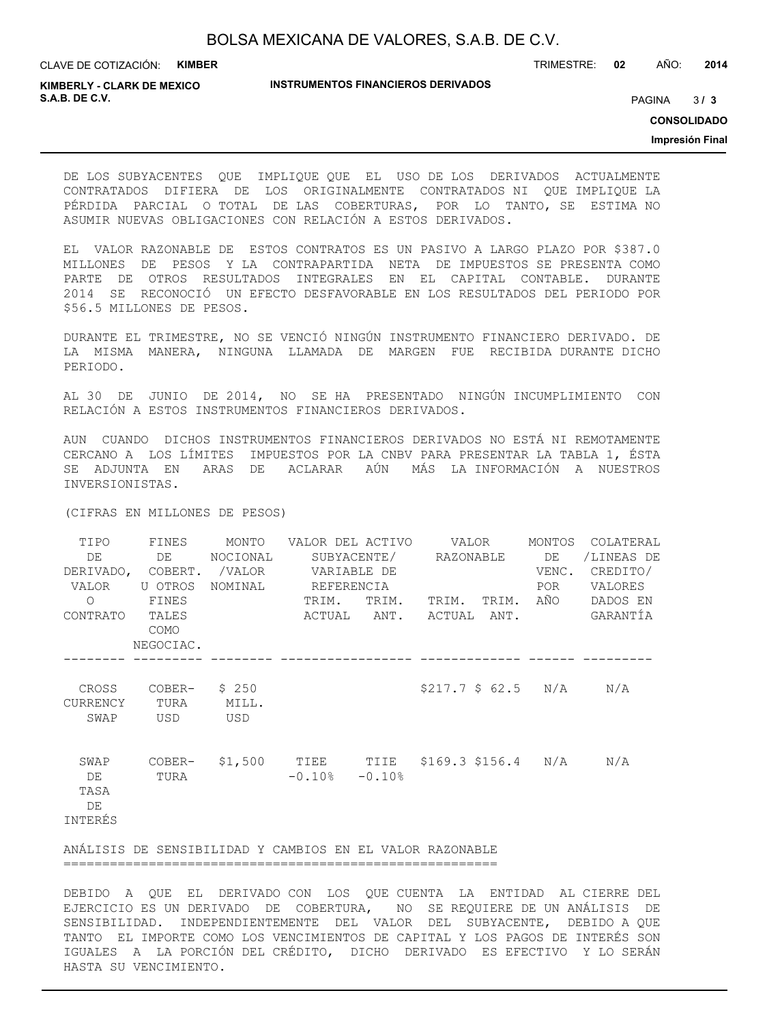TRIMESTRE: **02** AÑO: **2014**

**KIMBERLY - CLARK DE MEXICO S.A.B. DE C.V.** PAGINA **/ 3**

#### **INSTRUMENTOS FINANCIEROS DERIVADOS**

 $3/3$ 

**CONSOLIDADO**

**Impresión Final**

DE LOS SUBYACENTES QUE IMPLIQUE QUE EL USO DE LOS DERIVADOS ACTUALMENTE CONTRATADOS DIFIERA DE LOS ORIGINALMENTE CONTRATADOS NI QUE IMPLIQUE LA PÉRDIDA PARCIAL O TOTAL DE LAS COBERTURAS, POR LO TANTO, SE ESTIMA NO ASUMIR NUEVAS OBLIGACIONES CON RELACIÓN A ESTOS DERIVADOS.

EL VALOR RAZONABLE DE ESTOS CONTRATOS ES UN PASIVO A LARGO PLAZO POR \$387.0 MILLONES DE PESOS Y LA CONTRAPARTIDA NETA DE IMPUESTOS SE PRESENTA COMO PARTE DE OTROS RESULTADOS INTEGRALES EN EL CAPITAL CONTABLE. DURANTE 2014 SE RECONOCIÓ UN EFECTO DESFAVORABLE EN LOS RESULTADOS DEL PERIODO POR \$56.5 MILLONES DE PESOS.

DURANTE EL TRIMESTRE, NO SE VENCIÓ NINGÚN INSTRUMENTO FINANCIERO DERIVADO. DE LA MISMA MANERA, NINGUNA LLAMADA DE MARGEN FUE RECIBIDA DURANTE DICHO PERIODO.

AL 30 DE JUNIO DE 2014, NO SE HA PRESENTADO NINGÚN INCUMPLIMIENTO CON RELACIÓN A ESTOS INSTRUMENTOS FINANCIEROS DERIVADOS.

AUN CUANDO DICHOS INSTRUMENTOS FINANCIEROS DERIVADOS NO ESTÁ NI REMOTAMENTE CERCANO A LOS LÍMITES IMPUESTOS POR LA CNBV PARA PRESENTAR LA TABLA 1, ÉSTA SE ADJUNTA EN ARAS DE ACLARAR AÚN MÁS LA INFORMACIÓN A NUESTROS INVERSIONISTAS.

(CIFRAS EN MILLONES DE PESOS)

| TIPO<br>DE<br>VALOR<br>$\Omega$<br>CONTRATO TALES | FINES<br>DE<br>U OTROS<br>FINES | MONTO<br>NOCIONAL     | VALOR DEL ACTIVO VALOR<br>SUBYACENTE/ RAZONABLE DE<br>DERIVADO, COBERT. /VALOR VARIABLE DE<br>NOMINAL REFERENCIA<br>TRIM.<br>TRIM.<br>ACTUAL ANT. ACTUAL ANT. |  | TRIM. TRIM. AÑO    |  | MONTOS<br>VENC.<br>POR | COLATERAL<br>/LINEAS DE<br>CREDITO/<br>VALORES<br>DADOS EN<br>GARANTÍA |
|---------------------------------------------------|---------------------------------|-----------------------|---------------------------------------------------------------------------------------------------------------------------------------------------------------|--|--------------------|--|------------------------|------------------------------------------------------------------------|
|                                                   | COMO<br>NEGOCIAC.               |                       |                                                                                                                                                               |  |                    |  |                        |                                                                        |
| CROSS<br><b>CURRENCY</b><br>SWAP                  | COBER-<br>TURA<br>USD           | \$250<br>MILL.<br>USD |                                                                                                                                                               |  | \$217.7 \$62.5 N/A |  |                        | N/A                                                                    |
| SWAP<br>DE<br>TASA<br>DE<br>INTERÉS               | COBER-<br>TURA                  |                       | \$1,500 TIEE TIIE \$169.3 \$156.4 N/A<br>$-0.10$ % $-0.10$ %                                                                                                  |  |                    |  |                        | N/A                                                                    |
|                                                   |                                 |                       | ANÁLISIS DE SENSIBILIDAD Y CAMBIOS EN EL VALOR RAZONABLE                                                                                                      |  |                    |  |                        |                                                                        |

========================================================

DEBIDO A QUE EL DERIVADO CON LOS QUE CUENTA LA ENTIDAD AL CIERRE DEL EJERCICIO ES UN DERIVADO DE COBERTURA, NO SE REQUIERE DE UN ANÁLISIS DE SENSIBILIDAD. INDEPENDIENTEMENTE DEL VALOR DEL SUBYACENTE, DEBIDO A QUE TANTO EL IMPORTE COMO LOS VENCIMIENTOS DE CAPITAL Y LOS PAGOS DE INTERÉS SON IGUALES A LA PORCIÓN DEL CRÉDITO, DICHO DERIVADO ES EFECTIVO Y LO SERÁN HASTA SU VENCIMIENTO.